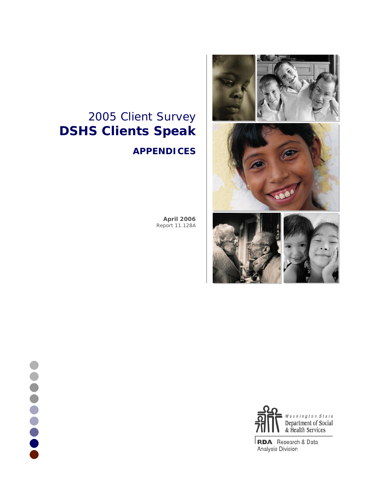

# 2005 Client Survey **DSHS Clients Speak**

## **APPENDICES**

**April 2006** Report 11.128A



RDA Research & Data Analysis Division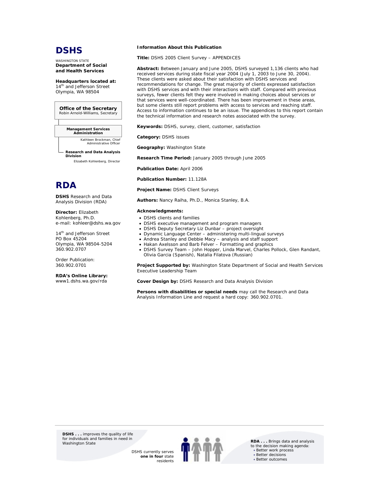### **DSHS**

WASHINGTON STATE **Department of Social and Health Services** 

**Headquarters located at:**  14<sup>th</sup> and Jefferson Street Olympia, WA 98504

#### **Office of the Secretary** Robin Arnold-Williams, Secretary

**Management Services Administration**

*Kathleen Brockman, Chief Administrative Office* 

**Research and Data Analysis Division** *Elizabeth Kohlenberg, Director*



**DSHS** Research and Data Analysis Division (RDA)

**Director:** Elizabeth Kohlenberg, Ph.D. e-mail: kohleer@dshs.wa.gov

14<sup>th</sup> and Jefferson Street PO Box 45204 Olympia, WA 98504-5204 360.902.0707

Order Publication: 360.902.0701

**RDA's Online Library:** www1.dshs.wa.gov/rda

#### **Information About this Publication**

**Title:** DSHS 2005 Client Survey – APPENDICES

**Abstract:** Between January and June 2005, DSHS surveyed 1,136 clients who had received services during state fiscal year 2004 (July 1, 2003 to June 30, 2004). These clients were asked about their satisfaction with DSHS services and recommendations for change. The great majority of clients expressed satisfaction with DSHS services and with their interactions with staff. Compared with previous surveys, fewer clients felt they were involved in making choices about services or that services were well-coordinated. There has been improvement in these areas, but some clients still report problems with access to services and reaching staff. Access to information continues to be an issue. The appendices to this report contain the technical information and research notes associated with the survey.

**Keywords:** DSHS, survey, client, customer, satisfaction

**Category:** DSHS issues

**Geography:** Washington State

**Research Time Period:** January 2005 through June 2005

**Publication Date:** April 2006

**Publication Number:** 11.128A

**Project Name:** DSHS Client Surveys

**Authors:** Nancy Raiha, Ph.D., Monica Stanley, B.A.

#### **Acknowledgments:**

- DSHS clients and families
- DSHS executive management and program managers
- DSHS Deputy Secretary Liz Dunbar project oversight
- Dynamic Language Center administering multi-lingual surveys
- Andrea Stanley and Debbie Macy analysis and staff support
- Hakan Axelsson and Barb Felver Formatting and graphics
- DSHS Survey Team John Hopper, Linda Marvel, Charles Pollock, Glen Randant, Olivia Garcia (Spanish), Natalia Filatova (Russian)

**Project Supported by:** Washington State Department of Social and Health Services Executive Leadership Team

**Cover Design by:** DSHS Research and Data Analysis Division

**Persons with disabilities or special needs** may call the Research and Data Analysis Information Line and request a hard copy: 360.902.0701.

**DSHS** . . . improves the quality of life for individuals and families in need in<br>Washington State

> DSHS currently serves **one in four** state residents



RDA . . . Brings data and analysis to the decision making agenda: • Better work process • Better decisions • Better outcomes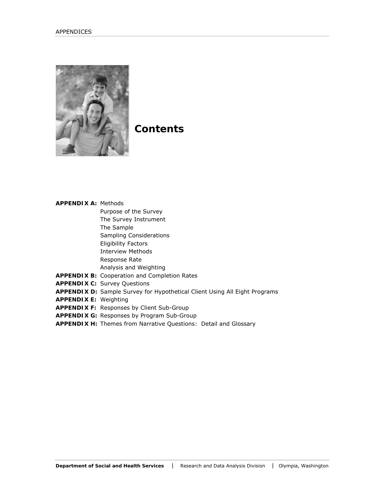

### **Contents**

**APPENDIX A:** Methods Purpose of the Survey The Survey Instrument The Sample Sampling Considerations Eligibility Factors Interview Methods Response Rate Analysis and Weighting **APPENDIX B:** Cooperation and Completion Rates **APPENDIX C:** Survey Questions

- **APPENDIX D:** Sample Survey for Hypothetical Client Using All Eight Programs
- **APPENDIX E:** Weighting
- **APPENDIX F:** Responses by Client Sub-Group
- **APPENDIX G:** Responses by Program Sub-Group
- **APPENDIX H:** Themes from Narrative Questions: Detail and Glossary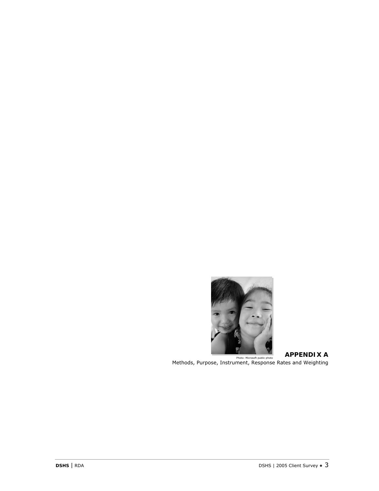

**Photo: Microsoft public photo APPENDIX A** 

Methods, Purpose, Instrument, Response Rates and Weighting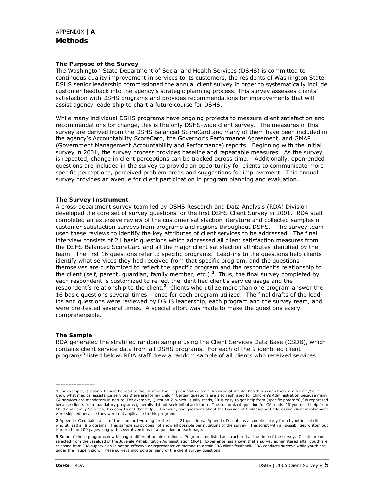#### **The Purpose of the Survey**

The Washington State Department of Social and Health Services (DSHS) is committed to continuous quality improvement in services to its customers, the residents of Washington State. DSHS senior leadership commissioned the annual client survey in order to systematically include customer feedback into the agency's strategic planning process. This survey assesses clients' satisfaction with DSHS programs and provides recommendations for improvements that will assist agency leadership to chart a future course for DSHS.

While many individual DSHS programs have ongoing projects to measure client satisfaction and recommendations for change, this is the only DSHS-wide client survey. The measures in this survey are derived from the DSHS Balanced ScoreCard and many of them have been included in the agency's Accountability ScoreCard, the Governor's Performance Agreement, and GMAP (Government Management Accountability and Performance) reports. Beginning with the initial survey in 2001, the survey process provides baseline and repeatable measures. As the survey is repeated, change in client perceptions can be tracked across time. Additionally, open-ended questions are included in the survey to provide an opportunity for clients to communicate more specific perceptions, perceived problem areas and suggestions for improvement. This annual survey provides an avenue for client participation in program planning and evaluation.

### **The Survey Instrument**

A cross-department survey team led by DSHS Research and Data Analysis (RDA) Division developed the core set of survey questions for the first DSHS Client Survey in 2001. RDA staff completed an extensive review of the customer satisfaction literature and collected samples of customer satisfaction surveys from programs and regions throughout DSHS. The survey team used these reviews to identify the key attributes of client services to be addressed. The final interview consists of 21 basic questions which addressed all client satisfaction measures from the DSHS Balanced ScoreCard and all the major client satisfaction attributes identified by the team. The first 16 questions refer to specific programs. Lead-ins to the questions help clients identify what services they had received from that specific program, and the questions themselves are customized to reflect the specific program and the respondent's relationship to the client (self, parent, guardian, family member, etc.).**<sup>1</sup>** Thus, the final survey completed by each respondent is customized to reflect the identified client's service usage and the respondent's relationship to the client.*<sup>2</sup>* Clients who utilize more than one program answer the 16 basic questions several times – once for each program utilized. The final drafts of the leadins and questions were reviewed by DSHS leadership, each program and the survey team, and were pre-tested several times. A special effort was made to make the questions easily comprehensible.

### **The Sample**

**\_\_\_\_\_\_\_\_\_\_\_\_\_\_\_** 

RDA generated the stratified random sample using the Client Services Data Base (CSDB), which contains client service data from all DSHS programs. For each of the 9 identified client programs**<sup>3</sup>** listed below, RDA staff drew a random sample of all clients who received services

<sup>1</sup> For example, Question 1 could be read to the client or their representative as: "I know what mental health services there are for me," or "I<br>know what medical assistance services there are for my child." Certain question CA services are mandatory in nature. For example, Question 2, which usually reads, "It is easy to get help from (specific program)," is rephrased<br>because clients from mandatory programs generally did not seek initial assis were skipped because they were not applicable to this program.

**<sup>2</sup>** Appendix C contains a list of the standard wording for the basic 21 questions. Appendix D contains a sample survey for a hypothetical client who utilized all 8 programs. This sample script does not show all possible permutations of the survey. The script with all possibilities written out is more than 100 pages long with several versions of a question on each page.

**<sup>3</sup>** Some of these programs now belong to different administrations. Programs are listed as structured at the time of the survey. Clients are not selected from the caseload of the Juvenile Rehabilitation Administration (JRA). Experience has shown that a survey administered after youth are released from JRA supervision is not an effective or representative method to obtain JRA client feedback. JRA conducts surveys while youth are under their supervision. These surveys incorporate many of the client survey questions.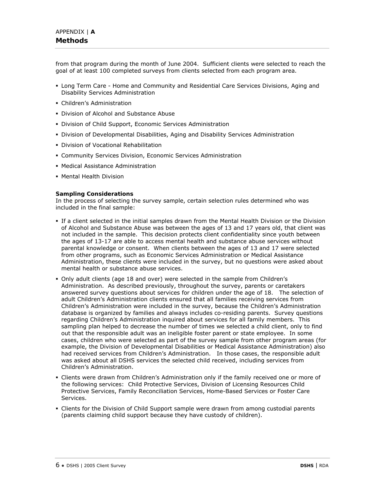from that program during the month of June 2004. Sufficient clients were selected to reach the goal of at least 100 completed surveys from clients selected from each program area.

- Long Term Care Home and Community and Residential Care Services Divisions, Aging and Disability Services Administration
- Children's Administration
- Division of Alcohol and Substance Abuse
- Division of Child Support, Economic Services Administration
- Division of Developmental Disabilities, Aging and Disability Services Administration
- Division of Vocational Rehabilitation
- Community Services Division, Economic Services Administration
- Medical Assistance Administration
- Mental Health Division

### **Sampling Considerations**

In the process of selecting the survey sample, certain selection rules determined who was included in the final sample:

- If a client selected in the initial samples drawn from the Mental Health Division or the Division of Alcohol and Substance Abuse was between the ages of 13 and 17 years old, that client was not included in the sample. This decision protects client confidentiality since youth between the ages of 13-17 are able to access mental health and substance abuse services without parental knowledge or consent. When clients between the ages of 13 and 17 were selected from other programs, such as Economic Services Administration or Medical Assistance Administration, these clients were included in the survey, but no questions were asked about mental health or substance abuse services.
- Only adult clients (age 18 and over) were selected in the sample from Children's Administration. As described previously, throughout the survey, parents or caretakers answered survey questions about services for children under the age of 18. The selection of adult Children's Administration clients ensured that all families receiving services from Children's Administration were included in the survey, because the Children's Administration database is organized by families and always includes co-residing parents. Survey questions regarding Children's Administration inquired about services for all family members. This sampling plan helped to decrease the number of times we selected a child client, only to find out that the responsible adult was an ineligible foster parent or state employee. In some cases, children who were selected as part of the survey sample from other program areas (for example, the Division of Developmental Disabilities or Medical Assistance Administration) also had received services from Children's Administration. In those cases, the responsible adult was asked about all DSHS services the selected child received, including services from Children's Administration.
- Clients were drawn from Children's Administration only if the family received one or more of the following services: Child Protective Services, Division of Licensing Resources Child Protective Services, Family Reconciliation Services, Home-Based Services or Foster Care Services.
- Clients for the Division of Child Support sample were drawn from among custodial parents (parents claiming child support because they have custody of children).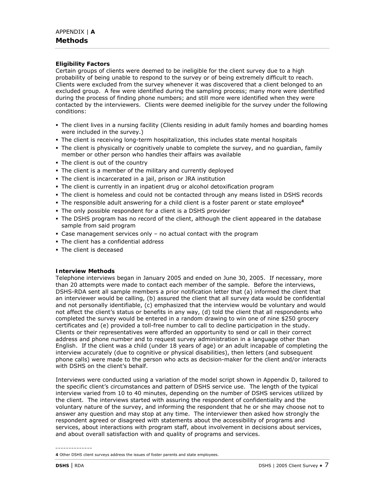### **Eligibility Factors**

Certain groups of clients were deemed to be ineligible for the client survey due to a high probability of being unable to respond to the survey or of being extremely difficult to reach. Clients were excluded from the survey whenever it was discovered that a client belonged to an excluded group. A few were identified during the sampling process; many more were identified during the process of finding phone numbers; and still more were identified when they were contacted by the interviewers. Clients were deemed ineligible for the survey under the following conditions:

- The client lives in a nursing facility (Clients residing in adult family homes and boarding homes were included in the survey.)
- The client is receiving long-term hospitalization, this includes state mental hospitals
- The client is physically or cognitively unable to complete the survey, and no guardian, family member or other person who handles their affairs was available
- The client is out of the country
- The client is a member of the military and currently deployed
- The client is incarcerated in a jail, prison or JRA institution
- The client is currently in an inpatient drug or alcohol detoxification program
- The client is homeless and could not be contacted through any means listed in DSHS records
- The responsible adult answering for a child client is a foster parent or state employee**<sup>4</sup>**
- The only possible respondent for a client is a DSHS provider
- The DSHS program has no record of the client, although the client appeared in the database sample from said program
- Case management services only no actual contact with the program
- The client has a confidential address
- **The client is deceased**

### **Interview Methods**

Telephone interviews began in January 2005 and ended on June 30, 2005. If necessary, more than 20 attempts were made to contact each member of the sample. Before the interviews, DSHS-RDA sent all sample members a prior notification letter that (a) informed the client that an interviewer would be calling, (b) assured the client that all survey data would be confidential and not personally identifiable, (c) emphasized that the interview would be voluntary and would not affect the client's status or benefits in any way, (d) told the client that all respondents who completed the survey would be entered in a random drawing to win one of nine \$250 grocery certificates and (e) provided a toll-free number to call to decline participation in the study. Clients or their representatives were afforded an opportunity to send or call in their correct address and phone number and to request survey administration in a language other than English. If the client was a child (under 18 years of age) or an adult incapable of completing the interview accurately (due to cognitive or physical disabilities), then letters (and subsequent phone calls) were made to the person who acts as decision-maker for the client and/or interacts with DSHS on the client's behalf.

Interviews were conducted using a variation of the model script shown in Appendix D, tailored to the specific client's circumstances and pattern of DSHS service use. The length of the typical interview varied from 10 to 40 minutes, depending on the number of DSHS services utilized by the client. The interviews started with assuring the respondent of confidentiality and the voluntary nature of the survey, and informing the respondent that he or she may choose not to answer any question and may stop at any time. The interviewer then asked how strongly the respondent agreed or disagreed with statements about the accessibility of programs and services, about interactions with program staff, about involvement in decisions about services, and about overall satisfaction with and quality of programs and services.

**\_\_\_\_\_\_\_\_\_\_\_\_\_\_** 

**<sup>4</sup>** Other DSHS client surveys address the issues of foster parents and state employees.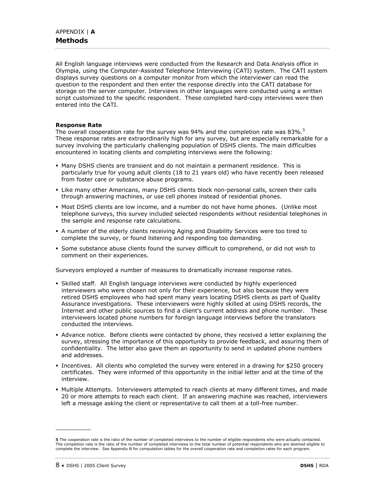All English language interviews were conducted from the Research and Data Analysis office in Olympia, using the Computer-Assisted Telephone Interviewing (CATI) system. The CATI system displays survey questions on a computer monitor from which the interviewer can read the question to the respondent and then enter the response directly into the CATI database for storage on the server computer. Interviews in other languages were conducted using a written script customized to the specific respondent. These completed hard-copy interviews were then entered into the CATI.

### **Response Rate**

The overall cooperation rate for the survey was 94% and the completion rate was 83%.<sup>5</sup> These response rates are extraordinarily high for any survey, but are especially remarkable for a survey involving the particularly challenging population of DSHS clients. The main difficulties encountered in locating clients and completing interviews were the following:

- Many DSHS clients are transient and do not maintain a permanent residence. This is particularly true for young adult clients (18 to 21 years old) who have recently been released from foster care or substance abuse programs.
- Like many other Americans, many DSHS clients block non-personal calls, screen their calls through answering machines, or use cell phones instead of residential phones.
- **Most DSHS clients are low income, and a number do not have home phones. (Unlike most** telephone surveys, this survey included selected respondents without residential telephones in the sample and response rate calculations.
- A number of the elderly clients receiving Aging and Disability Services were too tired to complete the survey, or found listening and responding too demanding.
- Some substance abuse clients found the survey difficult to comprehend, or did not wish to comment on their experiences.

Surveyors employed a number of measures to dramatically increase response rates.

- Skilled staff. All English language interviews were conducted by highly experienced interviewers who were chosen not only for their experience, but also because they were retired DSHS employees who had spent many years locating DSHS clients as part of Quality Assurance investigations. These interviewers were highly skilled at using DSHS records, the Internet and other public sources to find a client's current address and phone number. These interviewers located phone numbers for foreign language interviews before the translators conducted the interviews.
- Advance notice. Before clients were contacted by phone, they received a letter explaining the survey, stressing the importance of this opportunity to provide feedback, and assuring them of confidentiality. The letter also gave them an opportunity to send in updated phone numbers and addresses.
- Incentives. All clients who completed the survey were entered in a drawing for \$250 grocery certificates. They were informed of this opportunity in the initial letter and at the time of the interview.
- Multiple Attempts. Interviewers attempted to reach clients at many different times, and made 20 or more attempts to reach each client. If an answering machine was reached, interviewers left a message asking the client or representative to call them at a toll-free number.

 $\frac{1}{2}$  ,  $\frac{1}{2}$  ,  $\frac{1}{2}$  ,  $\frac{1}{2}$  ,  $\frac{1}{2}$  ,  $\frac{1}{2}$ 

**<sup>5</sup>** The cooperation rate is the ratio of the number of completed interviews to the number of eligible respondents who were actually contacted. The completion rate is the ratio of the number of completed interviews to the total number of potential respondents who are deemed eligible to complete the interview. See Appendix B for computation tables for the overall cooperation rate and completion rates for each program.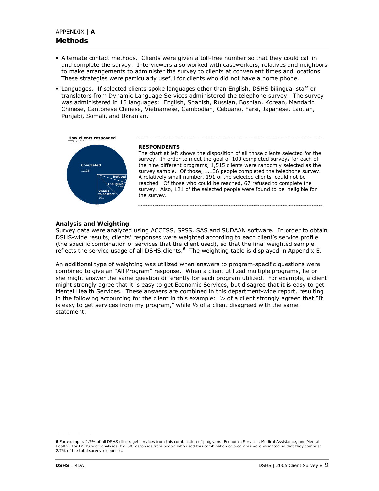- Alternate contact methods. Clients were given a toll-free number so that they could call in and complete the survey. Interviewers also worked with caseworkers, relatives and neighbors to make arrangements to administer the survey to clients at convenient times and locations. These strategies were particularly useful for clients who did not have a home phone.
- Languages. If selected clients spoke languages other than English, DSHS bilingual staff or translators from Dynamic Language Services administered the telephone survey. The survey was administered in 16 languages: English, Spanish, Russian, Bosnian, Korean, Mandarin Chinese, Cantonese Chinese, Vietnamese, Cambodian, Cebuano, Farsi, Japanese, Laotian, Punjabi, Somali, and Ukranian.



#### **RESPONDENTS**

The chart at left shows the disposition of all those clients selected for the survey. In order to meet the goal of 100 completed surveys for each of the nine different programs, 1,515 clients were randomly selected as the survey sample. Of those, 1,136 people completed the telephone survey. A relatively small number, 191 of the selected clients, could not be reached. Of those who could be reached, 67 refused to complete the survey. Also, 121 of the selected people were found to be ineligible for the survey.

### **Analysis and Weighting**

Survey data were analyzed using ACCESS, SPSS, SAS and SUDAAN software. In order to obtain DSHS-wide results, clients' responses were weighted according to each client's service profile (the specific combination of services that the client used), so that the final weighted sample reflects the service usage of all DSHS clients.**<sup>6</sup>** The weighting table is displayed in Appendix E.

An additional type of weighting was utilized when answers to program-specific questions were combined to give an "All Program" response. When a client utilized multiple programs, he or she might answer the same question differently for each program utilized. For example, a client might strongly agree that it is easy to get Economic Services, but disagree that it is easy to get Mental Health Services. These answers are combined in this department-wide report, resulting in the following accounting for the client in this example:  $\frac{1}{2}$  of a client strongly agreed that "It is easy to get services from my program," while  $\frac{1}{2}$  of a client disagreed with the same statement.

\_\_\_\_\_\_\_\_\_\_

**<sup>6</sup>** For example, 2.7% of all DSHS clients get services from this combination of programs: Economic Services, Medical Assistance, and Mental Health. For DSHS-wide analyses, the 50 responses from people who used this combination of programs were weighted so that they comprise 2.7% of the total survey responses.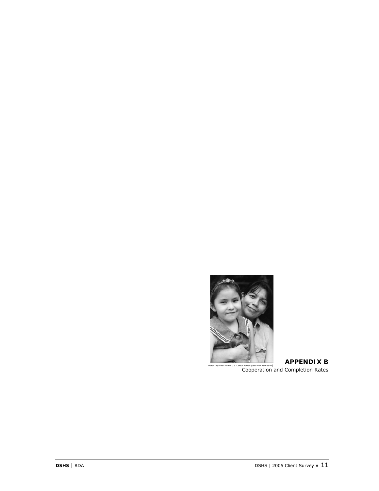

Photo: Lloyd Wolf for the U.S. Census Bureau (used with permission) **APPENDIX B** Cooperation and Completion Rates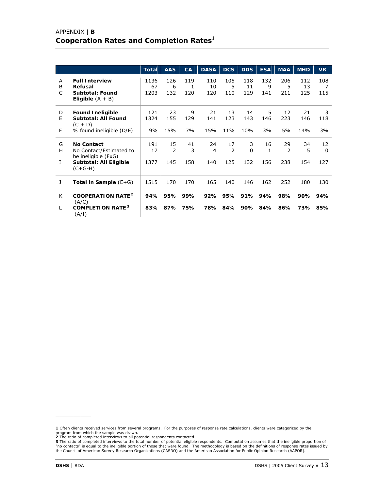|             |                                                                                                            | Total              | <b>AAS</b>       | CA              | <b>DASA</b>      | DCS                        | <b>DDS</b>           | <b>ESA</b>                | <b>MAA</b>                  | <b>MHD</b>       | <b>VR</b>             |
|-------------|------------------------------------------------------------------------------------------------------------|--------------------|------------------|-----------------|------------------|----------------------------|----------------------|---------------------------|-----------------------------|------------------|-----------------------|
| A<br>B<br>C | <b>Full Interview</b><br>Refusal<br>Subtotal: Found<br>Eligible $(A + B)$                                  | 1136<br>67<br>1203 | 126<br>6<br>132  | 119<br>1<br>120 | 110<br>10<br>120 | 105<br>5<br>110            | 118<br>11<br>129     | 132<br>9<br>141           | 206<br>5<br>211             | 112<br>13<br>125 | 108<br>7<br>115       |
| D<br>E<br>F | <b>Found Ineligible</b><br>Subtotal: All Found<br>$(C + D)$<br>% found ineligible (D/E)                    | 121<br>1324<br>9%  | 23<br>155<br>15% | 9<br>129<br>7%  | 21<br>141<br>15% | 13<br>123<br>11%           | 14<br>143<br>10%     | 5<br>146<br>3%            | 12<br>223<br>5%             | 21<br>146<br>14% | 3<br>118<br>3%        |
| G<br>Н<br>I | <b>No Contact</b><br>No Contact/Estimated to<br>be ineligible (FxG)<br>Subtotal: All Eligible<br>$(C+G-H)$ | 191<br>17<br>1377  | 15<br>2<br>145   | 41<br>3<br>158  | 24<br>4<br>140   | 17<br>$\mathcal{P}$<br>125 | 3<br>$\Omega$<br>132 | 16<br>$\mathbf{1}$<br>156 | 29<br>$\overline{2}$<br>238 | 34<br>5<br>154   | 12<br>$\Omega$<br>127 |
| J           | Total in Sample $(E+G)$                                                                                    | 1515               | 170              | 170             | 165              | 140                        | 146                  | 162                       | 252                         | 180              | 130                   |
| K<br>L      | <b>COOPERATION RATE<sup>2</sup></b><br>(A/C)<br><b>COMPLETION RATE<sup>3</sup></b><br>(A/I)                | 94%<br>83%         | 95%<br>87%       | 99%<br>75%      | 92%<br>78%       | 95%<br>84%                 | 91%                  | 94%<br>90% 84%            | 98%<br>86%                  | 90%<br>73%       | 94%<br>85%            |

 $\frac{1}{2}$  ,  $\frac{1}{2}$  ,  $\frac{1}{2}$  ,  $\frac{1}{2}$  ,  $\frac{1}{2}$  ,  $\frac{1}{2}$ 

<sup>1</sup> Often clients received services from several programs. For the purposes of response rate calculations, clients were categorized by the<br>program from which the sample was drawn.<br>2 The ratio of completed interviews to all

<sup>3</sup> The ratio of completed interviews to the total number of potential eligible respondents. Computation assumes that the ineligible proportion of<br>"no contacts" is equal to the ineligible portion of those that were found. Th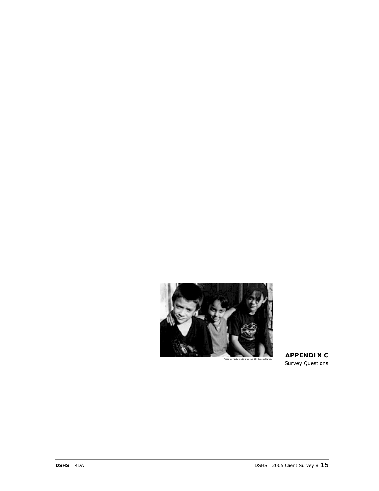

**APPENDIX C** Survey Questions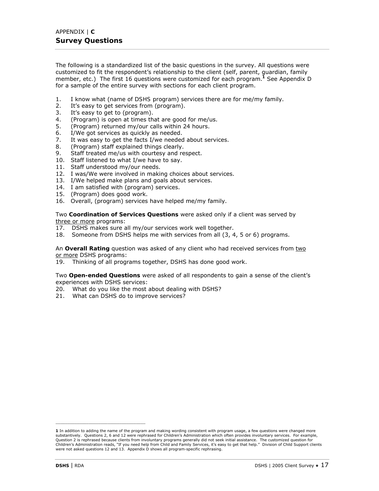The following is a standardized list of the basic questions in the survey. All questions were customized to fit the respondent's relationship to the client (self, parent, guardian, family member, etc.) The first 16 questions were customized for each program.**<sup>1</sup>** See Appendix D for a sample of the entire survey with sections for each client program.

- 1. I know what (*name of DSHS program*) services there are for me/my family.
- 2. It's easy to get services from (*program*).
- 3. It's easy to get to (*program*).
- 4. (*Program*) is open at times that are good for me/us.
- 5. (*Program*) returned my/our calls within 24 hours.
- 6. I/We got services as quickly as needed.
- 7. It was easy to get the facts I/we needed about services.
- 8. (*Program*) staff explained things clearly.
- 9. Staff treated me/us with courtesy and respect.
- 10. Staff listened to what I/we have to say.
- 11. Staff understood my/our needs.
- 12. I was/We were involved in making choices about services.
- 13. I/We helped make plans and goals about services.
- 14. I am satisfied with (*program*) services.
- 15. (*Program*) does good work.
- 16. Overall, (*program*) services have helped me/my family.

Two **Coordination of Services Questions** were asked only if a client was served by three or more programs:

- 17. DSHS makes sure all my/our services work well together.
- 18. Someone from DSHS helps me with services from all (3, 4, 5 or 6) programs.

An **Overall Rating** question was asked of any client who had received services from two or more DSHS programs:

19. Thinking of all programs together, DSHS has done good work.

Two **Open-ended Questions** were asked of all respondents to gain a sense of the client's experiences with DSHS services:

- 20. What do you like the most about dealing with DSHS?
- 21. What can DSHS do to improve services?

 $\mathcal{L}_\text{max}$  and  $\mathcal{L}_\text{max}$  and  $\mathcal{L}_\text{max}$  and  $\mathcal{L}_\text{max}$ 

**<sup>1</sup>** In addition to adding the name of the program and making wording consistent with program usage, a few questions were changed more substantively. Questions 2, 6 and 12 were rephrased for Children's Administration which often provides involuntary services. For example, Question 2 is rephrased because clients from involuntary programs generally did not seek initial assistance. The customized question for<br>Children's Administration reads, "If you need help from Child and Family Services, it were not asked questions 12 and 13. Appendix D shows all program-specific rephrasing.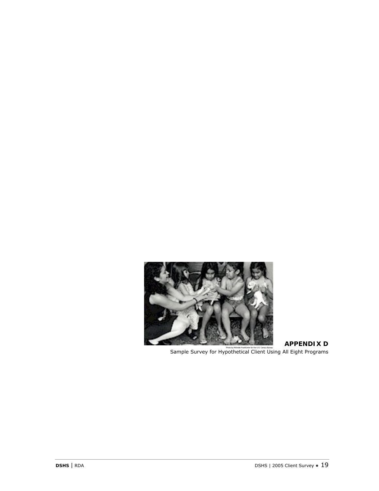

Photo by Michelle Frankfurter for the U.S. Census Bureau Sample Survey for Hypothetical Client Using All Eight Programs **APPENDIX D**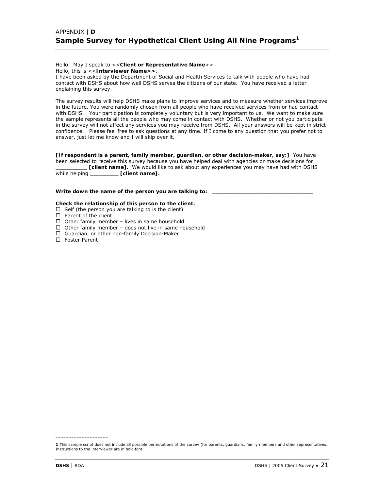#### Hello. May I speak to <<**Client or Representative Name**>> Hello, this is <<**Interviewer Name>>**.

I have been asked by the Department of Social and Health Services to talk with people who have had contact with DSHS about how well DSHS serves the citizens of our state. You have received a letter explaining this survey.

The survey results will help DSHS make plans to improve services and to measure whether services improve in the future. You were randomly chosen from all people who have received services from or had contact with DSHS. Your participation is completely voluntary but is very important to us. We want to make sure the sample represents all the people who may come in contact with DSHS. Whether or not you participate in the survey will not affect any services you may receive from DSHS. All your answers will be kept in strict confidence. Please feel free to ask questions at any time. If I come to any question that you prefer not to answer, just let me know and I will skip over it.

**[If respondent is a parent, family member, guardian, or other decision-maker, say:]** You have been selected to receive this survey because you have helped deal with agencies or make decisions for \_\_\_\_\_\_\_\_\_\_ **[client name].** We would like to ask about any experiences you may have had with DSHS while helping **because in the set of client name].** 

Write down the name of the person you are talking to:

#### **Check the relationship of this person to the client.**

- $\Box$  Self (the person you are talking to is the client)
- $\square$  Parent of the client
- $\Box$  Other family member lives in same household
- $\Box$  Other family member does not live in same household
- $\Box$  Guardian, or other non-family Decision-Maker
- □ Foster Parent

**\_\_\_\_\_\_\_\_\_\_\_\_\_\_\_\_\_\_\_\_** 

**<sup>1</sup>** This sample script does not include all possible permutations of the survey (for parents, guardians, family members and other representatives. Instructions to the interviewer are in bold font.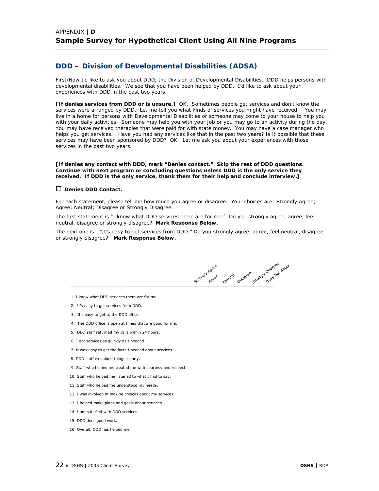### **DDD – Division of Developmental Disabilities (ADSA)**

First/Now I'd like to ask you about DDD, the Division of Developmental Disabilities. DDD helps persons with developmental disabilities. We see that you have been helped by DDD. I'd like to ask about your experiences with DDD in the past two years.

**[If denies services from DDD or is unsure.]** *OK. Sometimes people get services and don't know the services were arranged by DDD. Let me tell you what kinds of services you might have received: You may live in a home for persons with Developmental Disabilities or someone may come to your house to help you with your daily activities. Someone may help you with your job or you may go to an activity during the day. You may have received therapies that were paid for with state money. You may have a case manager who helps you get services. Have you had any services like that in the past two years? Is it possible that these services may have been sponsored by DDD? OK. Let me ask you about your experiences with those services in the past two years.* 

**[If denies any contact with DDD, mark "Denies contact." Skip the rest of DDD questions. Continue with next program or concluding questions unless DDD is the only service they received. If DDD is the only service, thank them for their help and conclude interview.]** 

### **Denies DDD Contact.**

For each statement, please tell me how much you agree or disagree. Your choices are: Strongly Agree; Agree; Neutral; Disagree or Strongly Disagree.

The first statement is "I know what DDD services there are for me." Do you strongly agree, agree, feel neutral, disagree or strongly disagree? **Mark Response Below**.

The next one is: "It's easy to get services from DDD." Do you strongly agree, agree, feel neutral, disagree or strongly disagree? **Mark Response Below.** 

Strongly Agree<br>Strongly Agree Reutral Disagree Strongly Disagree Apply

1. I know what DDD services there are for me.

- 2. It's easy to get services from DDD.
- 3. It's easy to get to the DDD office.
- 4. The DDD office is open at times that are good for me.
- 5. DDD staff returned my calls within 24 hours.
- 6. I got services as quickly as I needed.
- 7. It was easy to get the facts I needed about services.
- 8. DDD staff explained things clearly.
- 9. Staff who helped me treated me with courtesy and respect.
- 10. Staff who helped me listened to what I had to say.
- 11. Staff who helped me understood my needs.
- 12. I was involved in making choices about my services.
- 13. I helped make plans and goals about services.
- 14. I am satisfied with DDD services.
- 15. DDD does good work.
- 16. Overall, DDD has helped me.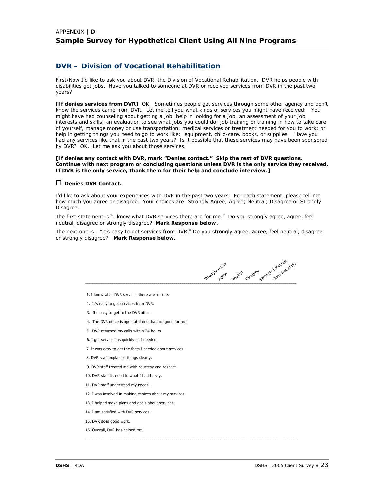### **DVR – Division of Vocational Rehabilitation**

First/Now I'd like to ask you about DVR, the Division of Vocational Rehabilitation. DVR helps people with disabilities get jobs. Have you talked to someone at DVR or received services from DVR in the past two years?

**[If denies services from DVR]** *OK. Sometimes people get services through some other agency and don't know the services came from DVR. Let me tell you what kinds of services you might have received: You might have had counseling about getting a job; help in looking for a job; an assessment of your job interests and skills; an evaluation to see what jobs you could do; job training or training in how to take care of yourself, manage money or use transportation; medical services or treatment needed for you to work; or help in getting things you need to go to work like: equipment, child-care, books, or supplies. Have you had any services like that in the past two years? Is it possible that these services may have been sponsored by DVR? OK. Let me ask you about those services.*

**[If denies any contact with DVR, mark "Denies contact." Skip the rest of DVR questions. Continue with next program or concluding questions unless DVR is the only service they received. If DVR is the only service, thank them for their help and conclude interview.]**

### **Denies DVR Contact.**

I'd like to ask about your experiences with DVR in the past two years. For each statement, please tell me how much you agree or disagree. Your choices are: Strongly Agree; Agree; Neutral; Disagree or Strongly Disagree.

The first statement is "I know what DVR services there are for me." Do you strongly agree, agree, feel neutral, disagree or strongly disagree? **Mark Response below.** 

The next one is: "It's easy to get services from DVR." Do you strongly agree, agree, feel neutral, disagree or strongly disagree? **Mark Response below.** 

Strongly Agree Agree <sub>Neutral</sub> <sub>Disagree</sup> strongly Disagree<br>Agree <sub>Neutral</sub> <sub>Disagree</sup> strongly Disagree</sub></sub> Does Not Apply

- 1. I know what DVR services there are for me.
- 2. It's easy to get services from DVR.
- 3. It's easy to get to the DVR office.
- 4. The DVR office is open at times that are good for me.
- 5. DVR returned my calls within 24 hours.
- 6. I got services as quickly as I needed.
- 7. It was easy to get the facts I needed about services.
- 8. DVR staff explained things clearly.
- 9. DVR staff treated me with courtesy and respect.
- 10. DVR staff listened to what I had to say.
- 11. DVR staff understood my needs.
- 12. I was involved in making choices about my services.
- 13. I helped make plans and goals about services.
- 14. I am satisfied with DVR services.
- 15. DVR does good work.
- 16. Overall, DVR has helped me.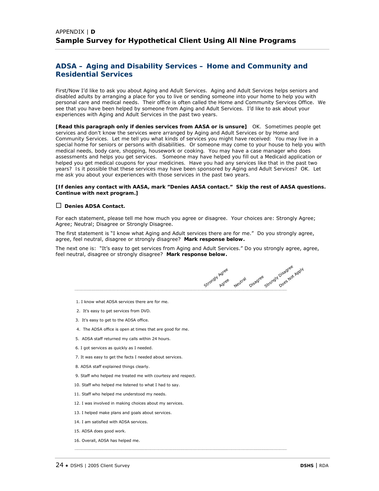### **ADSA – Aging and Disability Services – Home and Community and Residential Services**

First/Now I'd like to ask you about Aging and Adult Services. Aging and Adult Services helps seniors and disabled adults by arranging a place for you to live or sending someone into your home to help you with personal care and medical needs. Their office is often called the Home and Community Services Office. We see that you have been helped by someone from Aging and Adult Services. I'd like to ask about your experiences with Aging and Adult Services in the past two years.

*[***Read this paragraph only if denies services from AASA or is unsure***] OK. Sometimes people get services and don't know the services were arranged by Aging and Adult Services or by Home and Community Services. Let me tell you what kinds of services you might have received: You may live in a special home for seniors or persons with disabilities. Or someone may come to your house to help you with medical needs, body care, shopping, housework or cooking. You may have a case manager who does assessments and helps you get services. Someone may have helped you fill out a Medicaid application or helped you get medical coupons for your medicines. Have you had any services like that in the past two years? Is it possible that these services may have been sponsored by Aging and Adult Services? OK. Let me ask you about your experiences with those services in the past two years.*

#### **[If denies any contact with AASA, mark "Denies AASA contact." Skip the rest of AASA questions. Continue with next program.]**

#### **Denies ADSA Contact.**

For each statement, please tell me how much you agree or disagree. Your choices are: Strongly Agree; Agree; Neutral; Disagree or Strongly Disagree.

The first statement is "I know what Aging and Adult services there are for me." Do you strongly agree, agree, feel neutral, disagree or strongly disagree? **Mark response below.** 

The next one is: "It's easy to get services from Aging and Adult Services." Do you strongly agree, agree, feel neutral, disagree or strongly disagree? **Mark response below.** 

Strongly Agree Agree Neutral Disagree Strongly Disagree Does Not Apply

- 1. I know what ADSA services there are for me.
- 2. It's easy to get services from DVD.
- 3. It's easy to get to the ADSA office.
- 4. The ADSA office is open at times that are good for me.
- 5. ADSA staff returned my calls within 24 hours.
- 6. I got services as quickly as I needed.
- 7. It was easy to get the facts I needed about services.
- 8. ADSA staff explained things clearly.
- 9. Staff who helped me treated me with courtesy and respect.
- 10. Staff who helped me listened to what I had to say.
- 11. Staff who helped me understood my needs.
- 12. I was involved in making choices about my services.
- 13. I helped make plans and goals about services.
- 14. I am satisfied with ADSA services.
- 15. ADSA does good work.
- 16. Overall, ADSA has helped me.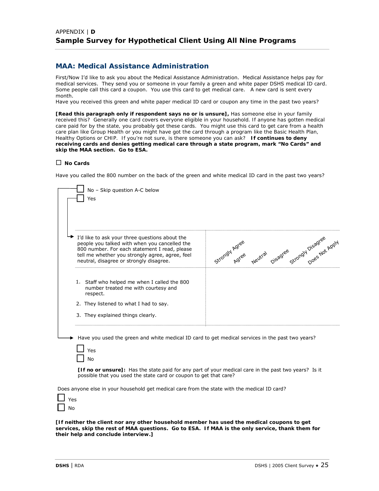### **MAA: Medical Assistance Administration**

First/Now I'd like to ask you about the Medical Assistance Administration. Medical Assistance helps pay for medical services. They send you or someone in your family a green and white paper DSHS medical ID card. Some people call this card a coupon. You use this card to get medical care. A new card is sent every month.

Have you received this green and white paper medical ID card or coupon any time in the past two years?

**[Read this paragraph only if respondent says no or is unsure],** *Has someone else in your family received this? Generally one card covers everyone eligible in your household. If anyone has gotten medical care paid for by the state, you probably got these cards. You might use this card to get care from a health care plan like Group Health or you might have got the card through a program like the Basic Health Plan, Healthy Options or CHIP. If you're not sure, is there someone you can ask?* **If continues to deny receiving cards and denies getting medical care through a state program, mark "No Cards" and skip the MAA section. Go to ESA.**

### **No Cards**

Have you called the 800 number on the back of the green and white medical ID card in the past two years?

| I'd like to ask your three questions about the<br>people you talked with when you cancelled the<br>800 number. For each statement I read, please<br>tell me whether you strongly agree, agree, feel<br>neutral, disagree or strongly disagree. | Neutral Disagree Strongly Disagree Apply<br>Strongly Agree |
|------------------------------------------------------------------------------------------------------------------------------------------------------------------------------------------------------------------------------------------------|------------------------------------------------------------|
| 1. Staff who helped me when I called the 800<br>number treated me with courtesy and<br>respect.                                                                                                                                                |                                                            |
| 2. They listened to what I had to say.                                                                                                                                                                                                         |                                                            |
| 3. They explained things clearly.                                                                                                                                                                                                              |                                                            |

Does anyone else in your household get medical care from the state with the medical ID card?

| z |
|---|
|   |

**[If neither the client nor any other household member has used the medical coupons to get services, skip the rest of MAA questions. Go to ESA. If MAA is the only service, thank them for their help and conclude interview.]**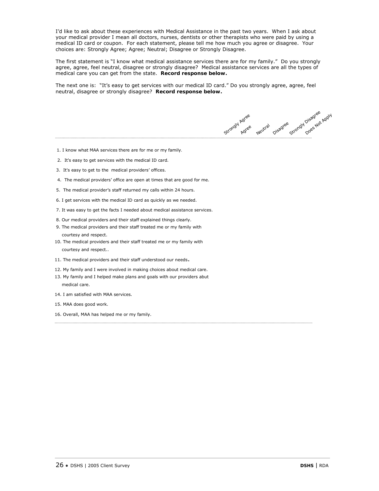I'd like to ask about these experiences with Medical Assistance in the past two years. When I ask about your medical provider I mean all doctors, nurses, dentists or other therapists who were paid by using a medical ID card or coupon. For each statement, please tell me how much you agree or disagree. Your choices are: Strongly Agree; Agree; Neutral; Disagree or Strongly Disagree.

The first statement is "I know what medical assistance services there are for my family." Do you strongly agree, agree, feel neutral, disagree or strongly disagree? Medical assistance services are all the types of medical care you can get from the state. **Record response below.** 

The next one is: "It's easy to get services with our medical ID card." Do you strongly agree, agree, feel neutral, disagree or strongly disagree? **Record response below.** 

Strongly Agree Agree **Neutral** Disagree Strongly Disagree Does Not Apply

- 1. I know what MAA services there are for me or my family.
- 2. It's easy to get services with the medical ID card.
- 3. It's easy to get to the medical providers' offices.
- 4. The medical providers' office are open at times that are good for me.
- 5. The medical provider's staff returned my calls within 24 hours.
- 6. I get services with the medical ID card as quickly as we needed.
- 7. It was easy to get the facts I needed about medical assistance services.
- 8. Our medical providers and their staff explained things clearly.
- 9. The medical providers and their staff treated me or my family with courtesy and respect.
- 10. The medical providers and their staff treated me or my family with courtesy and respect..
- 11. The medical providers and their staff understood our needs.
- 12. My family and I were involved in making choices about medical care.
- 13. My family and I helped make plans and goals with our providers abut medical care.
- 14. I am satisfied with MAA services.
- 15. MAA does good work.
- 16. Overall, MAA has helped me or my family.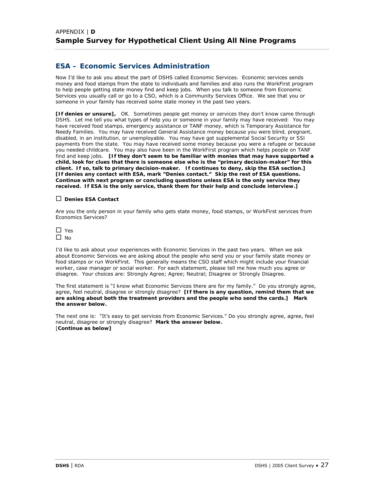### **ESA – Economic Services Administration**

Now I'd like to ask you about the part of DSHS called Economic Services. Economic services sends money and food stamps from the state to individuals and families and also runs the WorkFirst program to help people getting state money find and keep jobs. When you talk to someone from Economic Services you usually call or go to a CSO, which is a Community Services Office. We see that you or someone in your family has received some state money in the past two years.

*[If denies or unsure],**OK. Sometimes people get money or services they don't know came through DSHS. Let me tell you what types of help you or someone in your family may have received: You may have received food stamps, emergency assistance or TANF money, which is Temporary Assistance for Needy Families. You may have received General Assistance money because you were blind, pregnant, disabled, in an institution, or unemployable. You may have got supplemental Social Security or SSI payments from the state. You may have received some money because you were a refugee or because you needed childcare. You may also have been in the WorkFirst program which helps people on TANF find and keep jobs. [If they don't seem to be familiar with monies that may have supported a child, look for clues that there is someone else who is the "primary decision-maker" for this client. If so, talk to primary decision-maker. If continues to deny, skip the ESA section.] [If denies any contact with ESA, mark "Denies contact." Skip the rest of ESA questions. Continue with next program or concluding questions unless ESA is the only service they received. If ESA is the only service, thank them for their help and conclude interview.]* 

### **Denies ESA Contact**

Are you the only person in your family who gets state money, food stamps, or WorkFirst services from Economics Services?

| ۱ |
|---|

I'd like to ask about your experiences with Economic Services in the past two years. When we ask about Economic Services we are asking about the people who send you or your family state money or food stamps or run WorkFirst. This generally means the CSO staff which might include your financial worker, case manager or social worker. For each statement, please tell me how much you agree or disagree. Your choices are: Strongly Agree; Agree; Neutral; Disagree or Strongly Disagree.

The first statement is "I know what Economic Services there are for my family." Do you strongly agree, agree, feel neutral, disagree or strongly disagree? **[If there is any question, remind them that we are asking about both the treatment providers and the people who send the cards.] Mark the answer below.** 

The next one is: "It's easy to get services from Economic Services." Do you strongly agree, agree, feel neutral, disagree or strongly disagree? **Mark the answer below.** [**Continue as below]**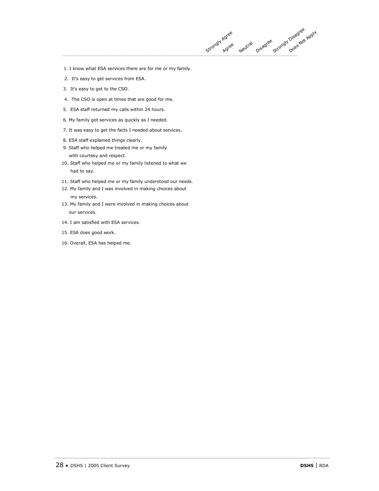

- 1. I know what ESA services there are for me or my family.
- 2. It's easy to get services from ESA.
- 3. It's easy to get to the CSO.
- 4. The CSO is open at times that are good for me.
- 5. ESA staff returned my calls within 24 hours.
- 6. My family got services as quickly as I needed.
- 7. It was easy to get the facts I needed about services.
- 8. ESA staff explained things clearly.
- 9. Staff who helped me treated me or my family with courtesy and respect.
- 10. Staff who helped me or my family listened to what we had to say. The same state of the same state  $\sim$
- 11. Staff who helped me or my family understood our needs.
- 12. My family and I was involved in making choices about my services.
- 13. My family and I were involved in making choices about our services.
- 14. I am satisfied with ESA services.
- 15. ESA does good work.
- 16. Overall, ESA has helped me.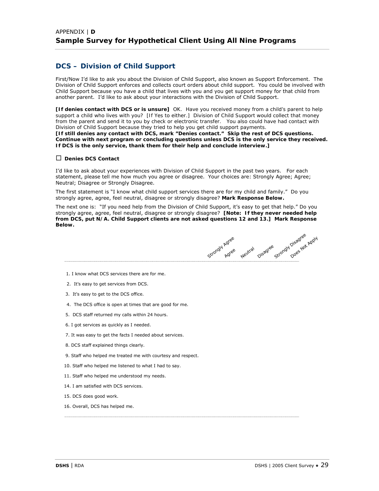### **DCS – Division of Child Support**

First/Now I'd like to ask you about the Division of Child Support, also known as Support Enforcement. The Division of Child Support enforces and collects court orders about child support. You could be involved with Child Support because you have a child that lives with you and you get support money for that child from another parent. I'd like to ask about your interactions with the Division of Child Support.

**[If denies contact with DCS or is unsure]** *OK. Have you received money from a child's parent to help support a child who lives with you? [If Yes to either.] Division of Child Support would collect that money from the parent and send it to you by check or electronic transfer. You also could have had contact with Division of Child Support because they tried to help you get child support payments.* 

**[If still denies any contact with DCS, mark "Denies contact." Skip the rest of DCS questions. Continue with next program or concluding questions unless DCS is the only service they received. If DCS is the only service, thank them for their help and conclude interview.]** 

#### **Denies DCS Contact**

I'd like to ask about your experiences with Division of Child Support in the past two years. For each statement, please tell me how much you agree or disagree. Your choices are: Strongly Agree; Agree; Neutral; Disagree or Strongly Disagree.

The first statement is "I know what child support services there are for my child and family." Do you strongly agree, agree, feel neutral, disagree or strongly disagree? **Mark Response Below.** 

The next one is: "If you need help from the Division of Child Support, it's easy to get that help." Do you strongly agree, agree, feel neutral, disagree or strongly disagree? **[Note: If they never needed help from DCS, put N/A. Child Support clients are not asked questions 12 and 13.] Mark Response Below.** 

Strongly Agree Agree Neutral Disagree Strongly Disagree Does Not Apply

- 1. I know what DCS services there are for me.
- 2. It's easy to get services from DCS.
- 3. It's easy to get to the DCS office.
- 4. The DCS office is open at times that are good for me.
- 5. DCS staff returned my calls within 24 hours.
- 6. I got services as quickly as I needed.
- 7. It was easy to get the facts I needed about services.
- 8. DCS staff explained things clearly.
- 9. Staff who helped me treated me with courtesy and respect.
- 10. Staff who helped me listened to what I had to say.
- 11. Staff who helped me understood my needs.
- 14. I am satisfied with DCS services.
- 15. DCS does good work.
- 16. Overall, DCS has helped me.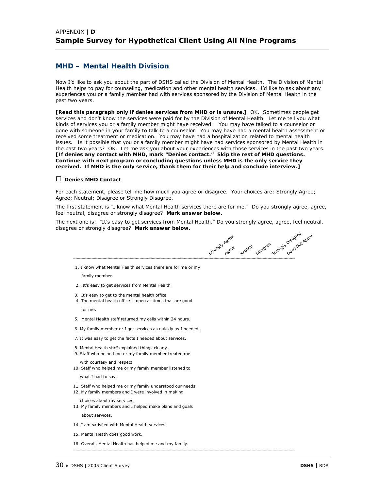### **MHD – Mental Health Division**

Now I'd like to ask you about the part of DSHS called the Division of Mental Health. The Division of Mental Health helps to pay for counseling, medication and other mental health services. I'd like to ask about any experiences you or a family member had with services sponsored by the Division of Mental Health in the past two years.

**[Read this paragraph only if denies services from MHD or is unsure.]** *OK. Sometimes people get services and don't know the services were paid for by the Division of Mental Health. Let me tell you what kinds of services you or a family member might have received: You may have talked to a counselor or gone with someone in your family to talk to a counselor. You may have had a mental health assessment or received some treatment or medication. You may have had a hospitalization related to mental health issues.* Is it possible that you or a family member might have had services sponsored by Mental Health in *the past two years? OK. Let me ask you about your experiences with those services in the past two years.* **[If denies any contact with MHD, mark "Denies contact." Skip the rest of MHD questions. Continue with next program or concluding questions unless MHD is the only service they received. If MHD is the only service, thank them for their help and conclude interview.]** 

#### **Denies MHD Contact**

For each statement, please tell me how much you agree or disagree. Your choices are: Strongly Agree; Agree; Neutral; Disagree or Strongly Disagree.

The first statement is "I know what Mental Health services there are for me." Do you strongly agree, agree, feel neutral, disagree or strongly disagree? **Mark answer below.** 

The next one is: "It's easy to get services from Mental Health." Do you strongly agree, agree, feel neutral, disagree or strongly disagree? **Mark answer below.**

Strongly Agree Agree Neutral Disagree Strongly Disagree Does Not Apply

1. I know what Mental Health services there are for me or my

family member. The state of the state of the state of the state of the state of the state of the state of the state of the state of the state of the state of the state of the state of the state of the state of the state of

- 2. It's easy to get services from Mental Health
- 3. It's easy to get to the mental health office.
- 4. The mental health office is open at times that are good

for me.

- 5. Mental Health staff returned my calls within 24 hours.
- 6. My family member or I got services as quickly as I needed.
- 7. It was easy to get the facts I needed about services.
- 8. Mental Health staff explained things clearly.
- 9. Staff who helped me or my family member treated me
- with courtesy and respect. 10. Staff who helped me or my family member listened to

what I had to say.

- 11. Staff who helped me or my family understood our needs.
- 12. My family members and I were involved in making
- choices about my services. 13. My family members and I helped make plans and goals

about services.

- 14. I am satisfied with Mental Health services.
- 15. Mental Heath does good work.
- 16. Overall, Mental Health has helped me and my family.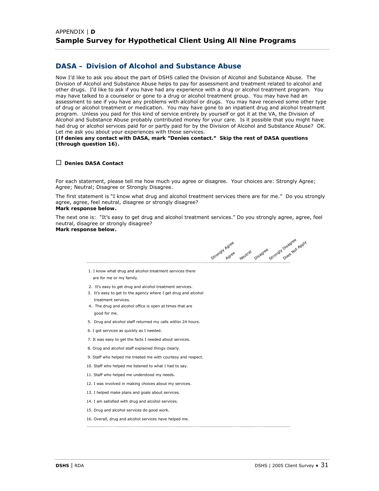### **DASA – Division of Alcohol and Substance Abuse**

Now I'd like to ask you about the part of DSHS called the Division of Alcohol and Substance Abuse. The Division of Alcohol and Substance Abuse helps to pay for assessment and treatment related to alcohol and other drugs. I'd like to ask if you have had any experience with a drug or alcohol treatment program. You may have talked to a counselor or gone to a drug or alcohol treatment group. You may have had an assessment to see if you have any problems with alcohol or drugs. You may have received some other type of drug or alcohol treatment or medication. You may have gone to an inpatient drug and alcohol treatment program. Unless you paid for this kind of service entirely by yourself or got it at the VA, the Division of Alcohol and Substance Abuse probably contributed money for your care. Is it possible that you might have had drug or alcohol services paid for or partly paid for by the Division of Alcohol and Substance Abuse? OK. Let me ask you about your experiences with those services.

#### **[If denies any contact with DASA, mark "Denies contact." Skip the rest of DASA questions (through question 16).**

### **Denies DASA Contact**

For each statement, please tell me how much you agree or disagree. Your choices are: Strongly Agree; Agree; Neutral; Disagree or Strongly Disagree.

The first statement is "I know what drug and alcohol treatment services there are for me." Do you strongly agree, agree, feel neutral, disagree or strongly disagree?

### **Mark response below.**

The next one is: "It's easy to get drug and alcohol treatment services." Do you strongly agree, agree, feel neutral, disagree or strongly disagree? **Mark response below.** 

Strongly Agree Agree <sub>Neutral</sub> <sub>Oisagree</sup> <sub>Strongy Disagree Apply</sub></sub>

- 1. I know what drug and alcohol treatment services there are for me or my family.
- 2. It's easy to get drug and alcohol treatment services.
- 3. It's easy to get to the agency where I get drug and alcohol treatment services.
- 4. The drug and alcohol office is open at times that are good for me.
- 5. Drug and alcohol staff returned my calls within 24 hours.
- 6. I got services as quickly as I needed.
- 7. It was easy to get the facts I needed about services.
- 8. Drug and alcohol staff explained things clearly.
- 9. Staff who helped me treated me with courtesy and respect.
- 10. Staff who helped me listened to what I had to say.
- 11. Staff who helped me understood my needs.
- 12. I was involved in making choices about my services.
- 13. I helped make plans and goals about services.
- 14. I am satisfied with drug and alcohol services.
- 15. Drug and alcohol services do good work.
- 16. Overall, drug and alcohol services have helped me.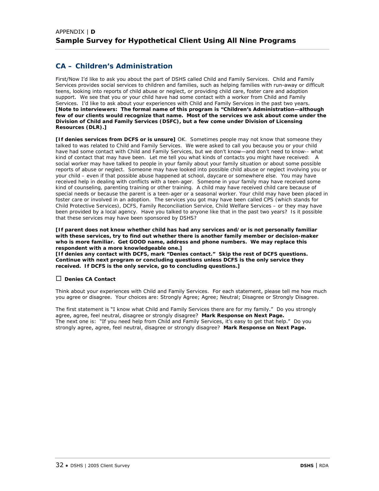### **CA – Children's Administration**

First/Now I'd like to ask you about the part of DSHS called Child and Family Services. Child and Family Services provides social services to children and families, such as helping families with run-away or difficult teens, looking into reports of child abuse or neglect, or providing child care, foster care and adoption support. We see that you or your child have had some contact with a worker from Child and Family Services. I'd like to ask about your experiences with Child and Family Services in the past two years. *[Note to interviewers: The formal name of this program is "Children's Administration—although few of our clients would recognize that name. Most of the services we ask about come under the Division of Child and Family Services (DSFC), but a few come under Division of Licensing Resources (DLR).]* 

**[If denies services from DCFS or is unsure]** *OK. Sometimes people may not know that someone they talked to was related to Child and Family Services. We were asked to call you because you or your child have had some contact with Child and Family Services, but we don't know—and don't need to know-- what kind of contact that may have been. Let me tell you what kinds of contacts you might have received: A social worker may have talked to people in your family about your family situation or about some possible reports of abuse or neglect. Someone may have looked into possible child abuse or neglect involving you or your child – even if that possible abuse happened at school, daycare or somewhere else. You may have*  received help in dealing with conflicts with a teen-ager. Someone in your family may have received some *kind of counseling, parenting training or other training. A child may have received child care because of special needs or because the parent is a teen-ager or a seasonal worker. Your child may have been placed in foster care or involved in an adoption. The services you got may have been called CPS (which stands for Child Protective Services), DCFS, Family Reconciliation Service, Child Welfare Services – or they may have been provided by a local agency. Have you talked to anyone like that in the past two years? Is it possible that these services may have been sponsored by DSHS?* 

**[If parent does not know whether child has had any services and/or is not personally familiar with these services, try to find out whether there is another family member or decision-maker who is more familiar. Get GOOD name, address and phone numbers. We may replace this respondent with a more knowledgeable one.]** 

**[If denies any contact with DCFS, mark "Denies contact." Skip the rest of DCFS questions. Continue with next program or concluding questions unless DCFS is the only service they received. If DCFS is the only service, go to concluding questions.]** 

### **Denies CA Contact**

Think about your experiences with Child and Family Services. For each statement, please tell me how much you agree or disagree. Your choices are: Strongly Agree; Agree; Neutral; Disagree or Strongly Disagree.

The first statement is "I know what Child and Family Services there are for my family." Do you strongly agree, agree, feel neutral, disagree or strongly disagree? **Mark Response on Next Page.** The next one is: "If you need help from Child and Family Services, it's easy to get that help." Do you strongly agree, agree, feel neutral, disagree or strongly disagree? **Mark Response on Next Page.**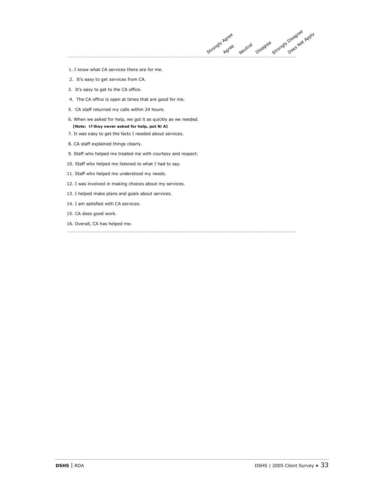- 1. I know what CA services there are for me.
- 2. It's easy to get services from CA.
- 3. It's easy to get to the CA office.
- 4. The CA office is open at times that are good for me.
- 5. CA staff returned my calls within 24 hours.
- 6. When we asked for help, we got it as quickly as we needed*. [Note: If they never asked for help, put N/A]*

Strongly Agree

Agree Neutral

Disagree <sub>Strongly Disagree Apply</sub>

- 7. It was easy to get the facts I needed about services.
- 8. CA staff explained things clearly.
- 9. Staff who helped me treated me with courtesy and respect.
- 10. Staff who helped me listened to what I had to say.
- 11. Staff who helped me understood my needs.
- 12. I was involved in making choices about my services.
- 13. I helped make plans and goals about services.
- 14. I am satisfied with CA services.
- 15. CA does good work.
- 16. Overall, CA has helped me.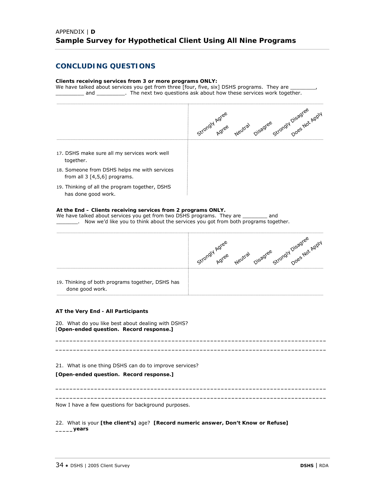### **CONCLUDING QUESTIONS**

**Clients receiving services from 3 or more programs ONLY:** We have talked about services you get from three [four, five, six] DSHS programs. They are and  $\Box$  and  $\Box$  The next two questions ask about how these services work together.



|                                                                     | strongly Agree Neutral Disagree crongly or a Not! |
|---------------------------------------------------------------------|---------------------------------------------------|
| 19. Thinking of both programs together, DSHS has<br>done good work. |                                                   |

*\_\_\_\_\_\_\_\_\_\_\_\_\_\_\_\_\_\_\_\_\_\_\_\_\_\_\_\_\_\_\_\_\_\_\_\_\_\_\_\_\_\_\_\_\_\_\_\_\_\_\_\_\_\_\_\_\_\_\_\_\_\_\_\_\_\_\_\_\_\_\_\_\_\_\_\_\_ \_\_\_\_\_\_\_\_\_\_\_\_\_\_\_\_\_\_\_\_\_\_\_\_\_\_\_\_\_\_\_\_\_\_\_\_\_\_\_\_\_\_\_\_\_\_\_\_\_\_\_\_\_\_\_\_\_\_\_\_\_\_\_\_\_\_\_\_\_\_\_\_\_\_\_\_\_* 

*\_\_\_\_\_\_\_\_\_\_\_\_\_\_\_\_\_\_\_\_\_\_\_\_\_\_\_\_\_\_\_\_\_\_\_\_\_\_\_\_\_\_\_\_\_\_\_\_\_\_\_\_\_\_\_\_\_\_\_\_\_\_\_\_\_\_\_\_\_\_\_\_\_\_\_\_\_ \_\_\_\_\_\_\_\_\_\_\_\_\_\_\_\_\_\_\_\_\_\_\_\_\_\_\_\_\_\_\_\_\_\_\_\_\_\_\_\_\_\_\_\_\_\_\_\_\_\_\_\_\_\_\_\_\_\_\_\_\_\_\_\_\_\_\_\_\_\_\_\_\_\_\_\_\_* 

### **AT the Very End - All Participants**

20. What do you like best about dealing with DSHS? *[Open-ended question. Record response.]* 

21. What is one thing DSHS can do to improve services?

*[Open-ended question. Record response.]* 

Now I have a few questions for background purposes.

22. What is your **[the client's]** age? *[Record numeric answer, Don't Know or Refuse]* **\_\_\_\_\_years**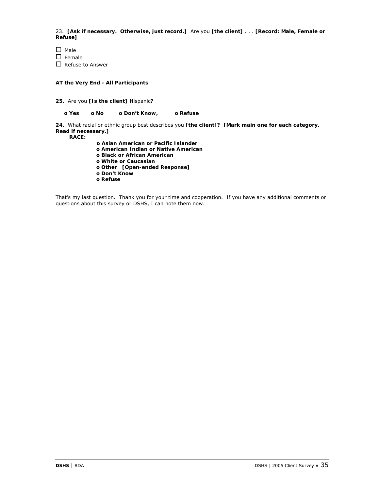23. **[Ask if necessary. Otherwise, just record.]** Are you **[the client]** . . . *[Record: Male, Female or Refuse]* 

 $\square$  Male

 $\square$  Female

Refuse to Answer

#### **AT the Very End - All Participants**

**25.** Are you *[Is the client]* **H**ispanic**?** 

*o Yes o No o* **Don't Know,** *o* **Refuse** 

**24.** What racial or ethnic group best describes you *[the client]***?** *[Mark main one for each category. Read if necessary.]*

 **RACE:** 

 *o* **Asian American or Pacific Islander** *o* **American Indian or Native American** *o* **Black or African American** *o* **White or Caucasian** *o* **Other [Open-ended Response]** *o* **Don't Know** *o* **Refuse** 

That's my last question. Thank you for your time and cooperation. If you have any additional comments or questions about this survey or DSHS, I can note them now.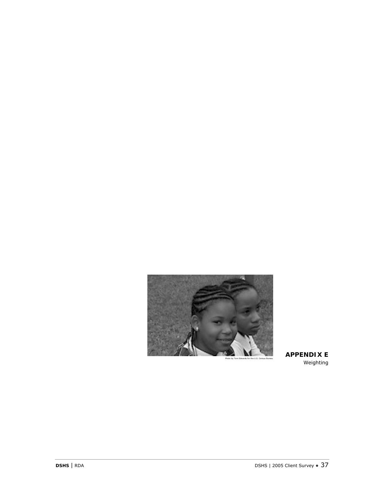

**APPENDIX E** Weighting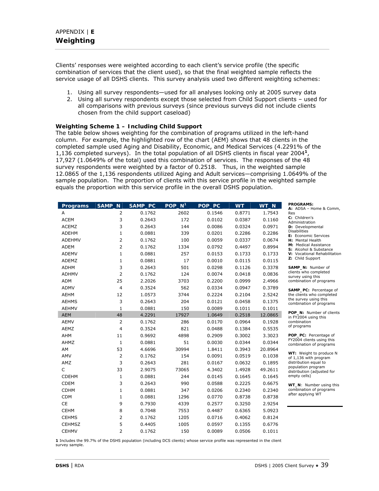Clients' responses were weighted according to each client's service profile (the specific combination of services that the client used), so that the final weighted sample reflects the service usage of all DSHS clients. This survey analysis used two different weighting schemes:

- 1. Using all survey respondents—used for all analyses looking only at 2005 survey data
- 2. Using all survey respondents except those selected from Child Support clients used for all comparisons with previous surveys (since previous surveys did not include clients chosen from the child support caseload)

### **Weighting Scheme 1 – Including Child Support**

The table below shows weighting for the combination of programs utilized in the left-hand column. For example, the highlighted row of the chart (AEM) shows that 48 clients in the completed sample used Aging and Disability, Economic, and Medical Services (4.2291% of the 1,136 completed surveys). In the total population of all DSHS clients in fiscal year 2004**<sup>1</sup>**, 17,927 (1.0649% of the total) used this combination of services. The responses of the 48 survey respondents were weighted by a factor of 0.2518. Thus, in the weighted sample 12.0865 of the 1,136 respondents utilized Aging and Adult services—comprising 1.0649% of the sample population. The proportion of clients with this service profile in the weighted sample equals the proportion with this service profile in the overall DSHS population.

| Programs      | SAMP_N         | SAMP_PC | $POP_N^1$ | POP_PC | <b>WT</b> | WT_N    | <b>PROGRAMS:</b><br>A: ADSA - Home & Comm,           |
|---------------|----------------|---------|-----------|--------|-----------|---------|------------------------------------------------------|
| A             | 2              | 0.1762  | 2602      | 0.1546 | 0.8771    | 1.7543  | Res                                                  |
| <b>ACEM</b>   | 3              | 0.2643  | 172       | 0.0102 | 0.0387    | 0.1160  | C: Children's<br>Administration                      |
| <b>ACEMZ</b>  | 3              | 0.2643  | 144       | 0.0086 | 0.0324    | 0.0971  | D: Developmental                                     |
| <b>ADEHM</b>  | 1              | 0.0881  | 339       | 0.0201 | 0.2286    | 0.2286  | <b>Disabilities</b><br>E: Economic Services          |
| <b>ADEHMV</b> | 2              | 0.1762  | 100       | 0.0059 | 0.0337    | 0.0674  | H: Mental Health                                     |
| <b>ADEM</b>   | $\overline{2}$ | 0.1762  | 1334      | 0.0792 | 0.4497    | 0.8994  | M: Medical Assistance<br>S: Alcohol & Substance      |
| <b>ADEMV</b>  | $\mathbf{1}$   | 0.0881  | 257       | 0.0153 | 0.1733    | 0.1733  | V: Vocational Rehabilitation                         |
| <b>ADEMZ</b>  | 1              | 0.0881  | 17        | 0.0010 | 0.0115    | 0.0115  | Z: Child Support                                     |
| <b>ADHM</b>   | 3              | 0.2643  | 501       | 0.0298 | 0.1126    | 0.3378  | SAMP_N: Number of                                    |
| <b>ADHMV</b>  | 2              | 0.1762  | 124       | 0.0074 | 0.0418    | 0.0836  | clients who completed<br>survey using this           |
| <b>ADM</b>    | 25             | 2.2026  | 3703      | 0.2200 | 0.0999    | 2.4966  | combination of programs                              |
| <b>ADMV</b>   | $\overline{4}$ | 0.3524  | 562       | 0.0334 | 0.0947    | 0.3789  | <b>SAMP_PC: Percentage of</b>                        |
| <b>AEHM</b>   | 12             | 1.0573  | 3744      | 0.2224 | 0.2104    | 2.5242  | the clients who completed                            |
| <b>AEHMS</b>  | 3              | 0.2643  | 204       | 0.0121 | 0.0458    | 0.1375  | the survey using this<br>combination of programs     |
| <b>AEHMV</b>  | $\mathbf{1}$   | 0.0881  | 150       | 0.0089 | 0.1011    | 0.1011  |                                                      |
| <b>AEM</b>    | 48             | 4.2291  | 17927     | 1.0649 | 0.2518    | 12.0865 | POP_N: Number of clients<br>in FY2004 using this     |
| <b>AEMV</b>   | $\overline{2}$ | 0.1762  | 286       | 0.0170 | 0.0964    | 0.1928  | combination                                          |
| AEMZ          | $\overline{4}$ | 0.3524  | 821       | 0.0488 | 0.1384    | 0.5535  | of programs                                          |
| AHM           | 11             | 0.9692  | 4898      | 0.2909 | 0.3002    | 3.3023  | POP_PC: Percentage of                                |
| AHMZ          | $\mathbf{1}$   | 0.0881  | 51        | 0.0030 | 0.0344    | 0.0344  | FY2004 clients using this<br>combination of programs |
| AM            | 53             | 4.6696  | 30994     | 1.8411 | 0.3943    | 20.8964 |                                                      |
| AMV           | 2              | 0.1762  | 154       | 0.0091 | 0.0519    | 0.1038  | WT: Weight to produce N<br>of 1,136 with program     |
| AMZ           | 3              | 0.2643  | 281       | 0.0167 | 0.0632    | 0.1895  | distribution equal to                                |
| C             | 33             | 2.9075  | 73065     | 4.3402 | 1.4928    | 49.2611 | population program<br>distribution (adjusted for     |
| <b>CDEHM</b>  | $\mathbf{1}$   | 0.0881  | 244       | 0.0145 | 0.1645    | 0.1645  | empty cells)                                         |
| <b>CDEM</b>   | 3              | 0.2643  | 990       | 0.0588 | 0.2225    | 0.6675  | WT_N: Number using this                              |
| <b>CDHM</b>   | 1              | 0.0881  | 347       | 0.0206 | 0.2340    | 0.2340  | combination of programs<br>after applying WT         |
| <b>CDM</b>    | 1              | 0.0881  | 1296      | 0.0770 | 0.8738    | 0.8738  |                                                      |
| <b>CE</b>     | 9              | 0.7930  | 4339      | 0.2577 | 0.3250    | 2.9254  |                                                      |
| <b>CEHM</b>   | 8              | 0.7048  | 7553      | 0.4487 | 0.6365    | 5.0923  |                                                      |
| <b>CEHMS</b>  | 2              | 0.1762  | 1205      | 0.0716 | 0.4062    | 0.8124  |                                                      |
| <b>CEHMSZ</b> | 5              | 0.4405  | 1005      | 0.0597 | 0.1355    | 0.6776  |                                                      |
| <b>CEHMV</b>  | $\overline{2}$ | 0.1762  | 150       | 0.0089 | 0.0506    | 0.1011  |                                                      |

**1** Includes the 99.7% of the DSHS population (including DCS clients) whose service profile was represented in the client survey sample.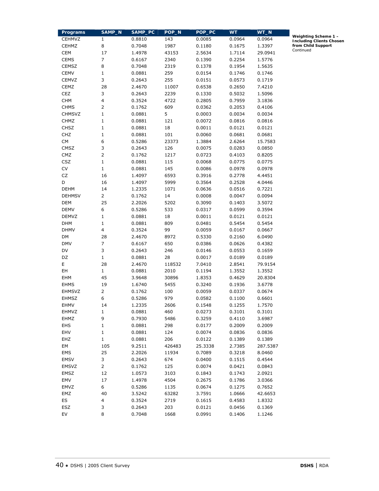| Programs      | SAMP_N                  | SAMP_PC | POP_N  | POP_PC  | <b>WT</b> | WT_N     |
|---------------|-------------------------|---------|--------|---------|-----------|----------|
| <b>CEHMVZ</b> | 1                       | 0.8810  | 143    | 0.0085  | 0.0964    | 0.0964   |
| <b>CEHMZ</b>  | 8                       | 0.7048  | 1987   | 0.1180  | 0.1675    | 1.3397   |
| <b>CEM</b>    | 17                      | 1.4978  | 43153  | 2.5634  | 1.7114    | 29.0941  |
| <b>CEMS</b>   | $\overline{7}$          | 0.6167  | 2340   | 0.1390  | 0.2254    | 1.5776   |
| CEMSZ         | 8                       | 0.7048  | 2319   | 0.1378  | 0.1954    | 1.5635   |
| <b>CEMV</b>   | $\mathbf 1$             | 0.0881  | 259    | 0.0154  | 0.1746    | 0.1746   |
| CEMVZ         | 3                       | 0.2643  | 255    | 0.0151  | 0.0573    | 0.1719   |
| CEMZ          | 28                      | 2.4670  | 11007  | 0.6538  | 0.2650    | 7.4210   |
| CEZ           | 3                       | 0.2643  | 2239   | 0.1330  | 0.5032    | 1.5096   |
| <b>CHM</b>    | 4                       | 0.3524  | 4722   | 0.2805  | 0.7959    | 3.1836   |
| <b>CHMS</b>   | $\overline{2}$          | 0.1762  | 609    | 0.0362  | 0.2053    | 0.4106   |
| <b>CHMSVZ</b> | $\mathbf 1$             | 0.0881  | 5      | 0.0003  | 0.0034    | 0.0034   |
| CHMZ          | $\mathbf 1$             | 0.0881  | 121    | 0.0072  | 0.0816    | 0.0816   |
| <b>CHSZ</b>   | $\mathbf 1$             | 0.0881  | 18     | 0.0011  | 0.0121    | 0.0121   |
| CHZ           | $\mathbf 1$             | 0.0881  | 101    | 0.0060  | 0.0681    | 0.0681   |
| CM            | 6                       | 0.5286  | 23373  | 1.3884  | 2.6264    | 15.7583  |
| CMSZ          | 3                       | 0.2643  | 126    | 0.0075  | 0.0283    | 0.0850   |
| CMZ           | $\overline{2}$          | 0.1762  | 1217   | 0.0723  | 0.4103    | 0.8205   |
| CSZ           | $\mathbf 1$             | 0.0881  | 115    | 0.0068  | 0.0775    | 0.0775   |
| ${\sf CV}$    | $\mathbf 1$             | 0.0881  | 145    | 0.0086  | 0.0978    | 0.0978   |
| CZ            | 16                      | 1.4097  | 6593   | 0.3916  | 0.2778    | 4.4451   |
| D             | 16                      | 1.4097  | 5999   | 0.3564  | 0.2528    | 4.0446   |
| <b>DEHM</b>   | 14                      | 1.2335  | 1071   | 0.0636  | 0.0516    | 0.7221   |
| <b>DEHMSV</b> | 2                       | 0.1762  | 14     | 0.0008  | 0.0047    | 0.0094   |
| DEM           | 25                      | 2.2026  | 5202   | 0.3090  | 0.1403    | 3.5072   |
| <b>DEMV</b>   | 6                       | 0.5286  | 533    | 0.0317  | 0.0599    | 0.3594   |
| <b>DEMVZ</b>  | $\mathbf 1$             | 0.0881  | 18     | 0.0011  | 0.0121    | 0.0121   |
| <b>DHM</b>    | $\mathbf 1$             | 0.0881  | 809    | 0.0481  | 0.5454    | 0.5454   |
| <b>DHMV</b>   | $\overline{\mathbf{4}}$ | 0.3524  | 99     | 0.0059  | 0.0167    | 0.0667   |
| DM            | 28                      | 2.4670  | 8972   | 0.5330  | 0.2160    | 6.0490   |
| <b>DMV</b>    | $\overline{7}$          | 0.6167  | 650    | 0.0386  | 0.0626    | 0.4382   |
| DV            | 3                       | 0.2643  | 246    | 0.0146  | 0.0553    | 0.1659   |
| DZ            | $\mathbf 1$             | 0.0881  | 28     | 0.0017  | 0.0189    | 0.0189   |
| E             | 28                      | 2.4670  | 118532 | 7.0410  | 2.8541    | 79.9154  |
| EH            | $\mathbf{1}$            | 0.0881  | 2010   | 0.1194  | 1.3552    | 1.3552   |
| EHM           | 45                      | 3.9648  | 30896  | 1.8353  | 0.4629    | 20.8304  |
| <b>EHMS</b>   | 19                      | 1.6740  | 5455   | 0.3240  | 0.1936    | 3.6778   |
| EHMSVZ        | $\overline{2}$          | 0.1762  | 100    | 0.0059  | 0.0337    | 0.0674   |
| <b>EHMSZ</b>  | 6                       | 0.5286  | 979    | 0.0582  | 0.1100    | 0.6601   |
| EHMV          | 14                      | 1.2335  | 2606   | 0.1548  | 0.1255    | 1.7570   |
| EHMVZ         | 1                       | 0.0881  | 460    | 0.0273  | 0.3101    | 0.3101   |
| EHMZ          | 9                       | 0.7930  | 5486   | 0.3259  | 0.4110    | 3.6987   |
| EHS           | $\mathbf 1$             | 0.0881  | 298    | 0.0177  | 0.2009    | 0.2009   |
| EHV           | 1                       | 0.0881  | 124    | 0.0074  | 0.0836    | 0.0836   |
| EHZ           | $\mathbf 1$             | 0.0881  | 206    | 0.0122  | 0.1389    | 0.1389   |
| EM            | 105                     | 9.2511  | 426483 | 25.3338 | 2.7385    | 287.5387 |
| EMS           | 25                      | 2.2026  | 11934  | 0.7089  | 0.3218    | 8.0460   |
| <b>EMSV</b>   | 3                       | 0.2643  | 674    | 0.0400  | 0.1515    | 0.4544   |
| <b>EMSVZ</b>  | 2                       | 0.1762  | 125    | 0.0074  | 0.0421    | 0.0843   |
| <b>EMSZ</b>   | 12                      | 1.0573  | 3103   | 0.1843  | 0.1743    | 2.0921   |
| EMV           | 17                      | 1.4978  | 4504   | 0.2675  | 0.1786    | 3.0366   |
| EMVZ          | 6                       | 0.5286  | 1135   | 0.0674  | 0.1275    | 0.7652   |
| EMZ           | 40                      | 3.5242  | 63282  | 3.7591  | 1.0666    | 42.6653  |
| <b>ES</b>     | 4                       | 0.3524  | 2719   | 0.1615  | 0.4583    | 1.8332   |
| ESZ           | 3                       | 0.2643  | 203    | 0.0121  | 0.0456    | 0.1369   |
| EV            | 8                       | 0.7048  | 1668   | 0.0991  | 0.1406    | 1.1246   |

**Weighting Scheme 1 – Including Clients Chosen from Child Support** Continued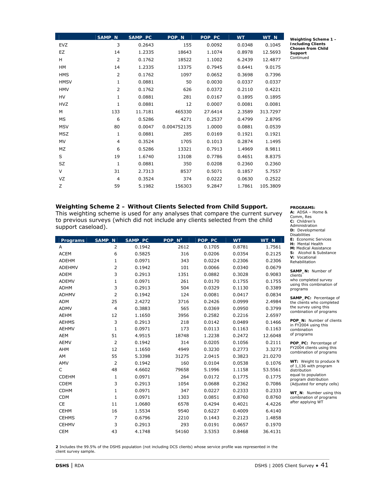|             | SAMP_N         | SAMP_PC | POP_N       | POP PC  | <b>WT</b> | $WT_N$   |
|-------------|----------------|---------|-------------|---------|-----------|----------|
| <b>EVZ</b>  | 3              | 0.2643  | 155         | 0.0092  | 0.0348    | 0.1045   |
| EZ          | 14             | 1.2335  | 18643       | 1.1074  | 0.8978    | 12.5693  |
| H           | $\overline{2}$ | 0.1762  | 18522       | 1.1002  | 6.2439    | 12.4877  |
| HM          | 14             | 1.2335  | 13375       | 0.7945  | 0.6441    | 9.0175   |
| <b>HMS</b>  | 2              | 0.1762  | 1097        | 0.0652  | 0.3698    | 0.7396   |
| <b>HMSV</b> | $\mathbf 1$    | 0.0881  | 50          | 0.0030  | 0.0337    | 0.0337   |
| <b>HMV</b>  | $\overline{2}$ | 0.1762  | 626         | 0.0372  | 0.2110    | 0.4221   |
| <b>HV</b>   | 1              | 0.0881  | 281         | 0.0167  | 0.1895    | 0.1895   |
| <b>HVZ</b>  | 1              | 0.0881  | 12          | 0.0007  | 0.0081    | 0.0081   |
| M           | 133            | 11.7181 | 465330      | 27.6414 | 2.3589    | 313.7297 |
| MS          | 6              | 0.5286  | 4271        | 0.2537  | 0.4799    | 2.8795   |
| <b>MSV</b>  | 80             | 0.0047  | 0.004752135 | 1.0000  | 0.0881    | 0.0539   |
| <b>MSZ</b>  | 1              | 0.0881  | 285         | 0.0169  | 0.1921    | 0.1921   |
| MV          | 4              | 0.3524  | 1705        | 0.1013  | 0.2874    | 1.1495   |
| MZ          | 6              | 0.5286  | 13321       | 0.7913  | 1.4969    | 8.9811   |
| S           | 19             | 1.6740  | 13108       | 0.7786  | 0.4651    | 8.8375   |
| <b>SZ</b>   | $\mathbf{1}$   | 0.0881  | 350         | 0.0208  | 0.2360    | 0.2360   |
| V           | 31             | 2.7313  | 8537        | 0.5071  | 0.1857    | 5.7557   |
| VZ          | $\overline{4}$ | 0.3524  | 374         | 0.0222  | 0.0630    | 0.2522   |
| Ζ           | 59             | 5.1982  | 156303      | 9.2847  | 1.7861    | 105.3809 |

### **Weighting Scheme 2 – Without Clients Selected from Child Support.**

This weighting scheme is used for any analyses that compare the current survey to previous surveys (which did not include any clients selected from the child support caseload).

| Programs      | SAMP_N         | SAMP_PC | $POP_N^2$ | POP PC | <b>WT</b> | WT_N    |
|---------------|----------------|---------|-----------|--------|-----------|---------|
| Α             | 2              | 0.1942  | 2612      | 0.1705 | 0.8781    | 1.7561  |
| <b>ACEM</b>   | 6              | 0.5825  | 316       | 0.0206 | 0.0354    | 0.2125  |
| <b>ADEHM</b>  | 1              | 0.0971  | 343       | 0.0224 | 0.2306    | 0.2306  |
| <b>ADEHMV</b> | 2              | 0.1942  | 101       | 0.0066 | 0.0340    | 0.0679  |
| ADEM          | 3              | 0.2913  | 1351      | 0.0882 | 0.3028    | 0.9083  |
| <b>ADEMV</b>  | 1              | 0.0971  | 261       | 0.0170 | 0.1755    | 0.1755  |
| <b>ADHM</b>   | 3              | 0.2913  | 504       | 0.0329 | 0.1130    | 0.3389  |
| <b>ADHMV</b>  | 2              | 0.1942  | 124       | 0.0081 | 0.0417    | 0.0834  |
| ADM           | 25             | 2.4272  | 3716      | 0.2426 | 0.0999    | 2.4984  |
| <b>ADMV</b>   | 4              | 0.3883  | 565       | 0.0369 | 0.0950    | 0.3799  |
| <b>AEHM</b>   | 12             | 1.1650  | 3956      | 0.2582 | 0.2216    | 2.6597  |
| <b>AEHMS</b>  | 3              | 0.2913  | 218       | 0.0142 | 0.0489    | 0.1466  |
| <b>AEHMV</b>  | $\mathbf{1}$   | 0.0971  | 173       | 0.0113 | 0.1163    | 0.1163  |
| AEM           | 51             | 4.9515  | 18748     | 1.2238 | 0.2472    | 12.6048 |
| <b>AEMV</b>   | $\overline{2}$ | 0.1942  | 314       | 0.0205 | 0.1056    | 0.2111  |
| AHM           | 12             | 1.1650  | 4949      | 0.3230 | 0.2773    | 3.3273  |
| AM            | 55             | 5.3398  | 31275     | 2.0415 | 0.3823    | 21.0270 |
| AMV           | $\overline{2}$ | 0.1942  | 160       | 0.0104 | 0.0538    | 0.1076  |
| C             | 48             | 4.6602  | 79658     | 5.1996 | 1.1158    | 53.5561 |
| <b>CDEHM</b>  | 1              | 0.0971  | 264       | 0.0172 | 0.1775    | 0.1775  |
| <b>CDEM</b>   | 3              | 0.2913  | 1054      | 0.0688 | 0.2362    | 0.7086  |
| <b>CDHM</b>   | 1              | 0.0971  | 347       | 0.0227 | 0.2333    | 0.2333  |
| <b>CDM</b>    | 1              | 0.0971  | 1303      | 0.0851 | 0.8760    | 0.8760  |
| <b>CE</b>     | 11             | 1.0680  | 6578      | 0.4294 | 0.4021    | 4.4226  |
| <b>CEHM</b>   | 16             | 1.5534  | 9540      | 0.6227 | 0.4009    | 6.4140  |
| <b>CEHMS</b>  | 7              | 0.6796  | 2210      | 0.1443 | 0.2123    | 1.4858  |
| <b>CEHMV</b>  | 3              | 0.2913  | 293       | 0.0191 | 0.0657    | 0.1970  |
| <b>CEM</b>    | 43             | 4.1748  | 54160     | 3.5353 | 0.8468    | 36.4131 |

**Weighting Scheme 1 – Including Clients Chosen from Child** 

**Support Continued** 

**PROGRAMS: A:** ADSA – Home & Comm, Res **C:** Children's Administration **D:** Developmental **Disabilities E:** Economic Services **H:** Mental Health **M:** Medical Assistance **S:** Alcohol & Substance **V:** Vocational Rehabilitation **SAMP\_N:** Number of clients who completed survey using this combination of programs **SAMP\_PC:** Percentage of the clients who completed the survey using this combination of programs **POP\_N:** Number of clients in FY2004 using this combination of programs **POP\_PC:** Percentage of<br>FY2004 clients using this<br>combination of programs **WT:** Weight to produce N of 1,136 with program distribution equal to population program distribution (Adjusted for empty cells) **WT\_N**: Number using this combination of programs after applying WT

**2** Includes the 99.5% of the DSHS population (not including DCS clients) whose service profile was represented in the client survey sample.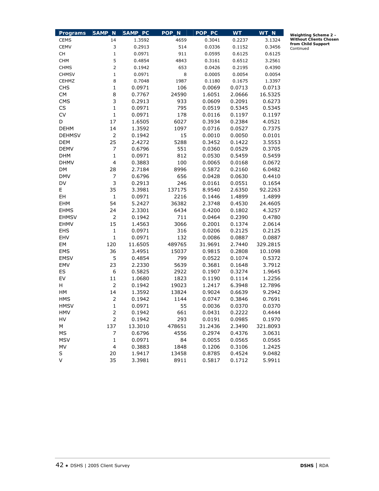| Programs      | SAMP_N         | SAMP_PC | POP_N  | POP_PC  | <b>WT</b> | WT_N     |
|---------------|----------------|---------|--------|---------|-----------|----------|
| <b>CEMS</b>   | 14             | 1.3592  | 4659   | 0.3041  | 0.2237    | 3.1324   |
| <b>CEMV</b>   | 3              | 0.2913  | 514    | 0.0336  | 0.1152    | 0.3456   |
| <b>CH</b>     | $\mathbf 1$    | 0.0971  | 911    | 0.0595  | 0.6125    | 0.6125   |
| <b>CHM</b>    | 5              | 0.4854  | 4843   | 0.3161  | 0.6512    | 3.2561   |
| CHMS          | $\overline{2}$ | 0.1942  | 653    | 0.0426  | 0.2195    | 0.4390   |
| <b>CHMSV</b>  | $\mathbf 1$    | 0.0971  | 8      | 0.0005  | 0.0054    | 0.0054   |
| CEHMZ         | 8              | 0.7048  | 1987   | 0.1180  | 0.1675    | 1.3397   |
| <b>CHS</b>    | $\mathbf{1}$   | 0.0971  | 106    | 0.0069  | 0.0713    | 0.0713   |
| <b>CM</b>     | 8              | 0.7767  | 24590  | 1.6051  | 2.0666    | 16.5325  |
| <b>CMS</b>    | 3              | 0.2913  | 933    | 0.0609  | 0.2091    | 0.6273   |
| CS            | $\mathbf{1}$   | 0.0971  | 795    | 0.0519  | 0.5345    | 0.5345   |
| CV            | $\mathbf 1$    | 0.0971  | 178    | 0.0116  | 0.1197    | 0.1197   |
| D             | 17             | 1.6505  | 6027   | 0.3934  | 0.2384    | 4.0521   |
| <b>DEHM</b>   | 14             | 1.3592  | 1097   | 0.0716  | 0.0527    | 0.7375   |
| <b>DEHMSV</b> |                | 0.1942  | 15     | 0.0010  | 0.0050    | 0.0101   |
| <b>DEM</b>    | 25             | 2.4272  | 5288   | 0.3452  | 0.1422    | 3.5553   |
| <b>DEMV</b>   | 7              | 0.6796  | 551    | 0.0360  | 0.0529    | 0.3705   |
| <b>DHM</b>    | $\mathbf{1}$   | 0.0971  | 812    | 0.0530  | 0.5459    | 0.5459   |
| <b>DHMV</b>   | 4              | 0.3883  | 100    | 0.0065  | 0.0168    | 0.0672   |
| DM            | 28             | 2.7184  | 8996   | 0.5872  | 0.2160    | 6.0482   |
| <b>DMV</b>    | 7              | 0.6796  | 656    | 0.0428  | 0.0630    | 0.4410   |
| DV            | 3              | 0.2913  | 246    | 0.0161  | 0.0551    | 0.1654   |
| E             | 35             | 3.3981  | 137175 | 8.9540  | 2.6350    | 92.2263  |
| EH            | $\mathbf{1}$   | 0.0971  | 2216   | 0.1446  | 1.4899    | 1.4899   |
| EHM           | 54             | 5.2427  | 36382  | 2.3748  | 0.4530    | 24.4605  |
| <b>EHMS</b>   | 24             | 2.3301  | 6434   | 0.4200  | 0.1802    | 4.3257   |
| <b>EHMSV</b>  | $\overline{2}$ | 0.1942  | 711    | 0.0464  | 0.2390    | 0.4780   |
| EHMV          | 15             | 1.4563  | 3066   | 0.2001  | 0.1374    | 2.0614   |
| <b>EHS</b>    | $\mathbf{1}$   | 0.0971  | 316    | 0.0206  | 0.2125    | 0.2125   |
| EHV           | $\mathbf 1$    | 0.0971  | 132    | 0.0086  | 0.0887    | 0.0887   |
| EM            | 120            | 11.6505 | 489765 | 31.9691 | 2.7440    | 329.2815 |
| EMS           | 36             | 3.4951  | 15037  | 0.9815  | 0.2808    | 10.1098  |
| <b>EMSV</b>   | 5              | 0.4854  | 799    | 0.0522  | 0.1074    | 0.5372   |
| EMV           | 23             | 2.2330  | 5639   | 0.3681  | 0.1648    | 3.7912   |
| ES            | 6              | 0.5825  | 2922   | 0.1907  | 0.3274    | 1.9645   |
| EV            | 11             | 1.0680  | 1823   | 0.1190  | 0.1114    | 1.2256   |
| Н             | $\overline{2}$ | 0.1942  | 19023  | 1.2417  | 6.3948    | 12.7896  |
| HM            | 14             | 1.3592  | 13824  | 0.9024  | 0.6639    | 9.2942   |
| <b>HMS</b>    |                | 0.1942  | 1144   | 0.0747  | 0.3846    | 0.7691   |
| <b>HMSV</b>   | $\mathbf 1$    | 0.0971  | 55     | 0.0036  | 0.0370    | 0.0370   |
| HMV           | 2              | 0.1942  | 661    | 0.0431  | 0.2222    | 0.4444   |
| HV            | 2              | 0.1942  | 293    | 0.0191  | 0.0985    | 0.1970   |
| М             | 137            | 13.3010 | 478651 | 31.2436 | 2.3490    | 321.8093 |
| MS            | 7              | 0.6796  | 4556   | 0.2974  | 0.4376    | 3.0631   |
| <b>MSV</b>    | $\mathbf 1$    | 0.0971  | 84     | 0.0055  | 0.0565    | 0.0565   |
| MV            | 4              | 0.3883  | 1848   | 0.1206  | 0.3106    | 1.2425   |
| S             | 20             | 1.9417  | 13458  | 0.8785  | 0.4524    | 9.0482   |
| V             | 35             | 3.3981  | 8911   | 0.5817  | 0.1712    | 5.9911   |

**Weighting Scheme 2 – Without Clients Chosen from Child Support** Continued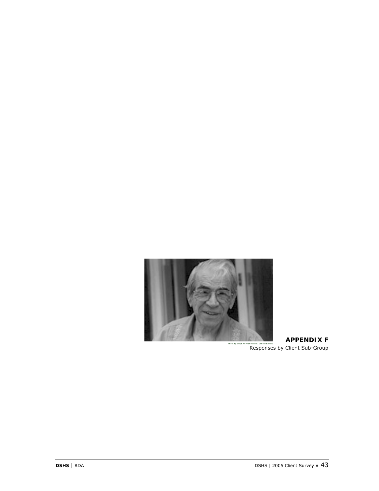

Photo by Lloyd Wolf for the U.S. Census Bureau Responses by Client Sub-Group **APPENDIX F**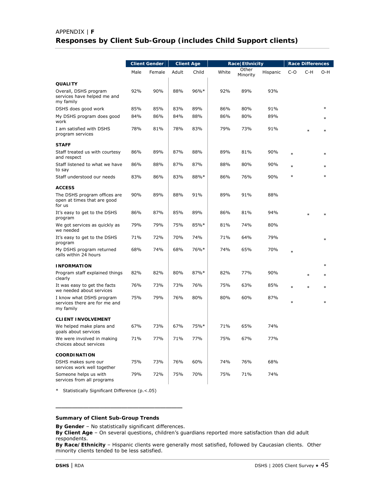### APPENDIX | **F Responses by Client Sub-Group (includes Child Support clients)**

|                                                                        |      | <b>Client Gender</b> |       | <b>Client Age</b> | Race Ethnicity |                   |          | <b>Race Differences</b> |        |        |
|------------------------------------------------------------------------|------|----------------------|-------|-------------------|----------------|-------------------|----------|-------------------------|--------|--------|
|                                                                        | Male | Female               | Adult | Child             | White          | Other<br>Minority | Hispanic | $C-O$                   | C-H    | O-H    |
| <b>QUALITY</b>                                                         |      |                      |       |                   |                |                   |          |                         |        |        |
| Overall, DSHS program<br>services have helped me and<br>my family      | 92%  | 90%                  | 88%   | 96%*              | 92%            | 89%               | 93%      |                         |        |        |
| DSHS does good work                                                    | 85%  | 85%                  | 83%   | 89%               | 86%            | 80%               | 91%      |                         |        | $\ast$ |
| My DSHS program does good<br>work                                      | 84%  | 86%                  | 84%   | 88%               | 86%            | 80%               | 89%      |                         |        | $\ast$ |
| I am satisfied with DSHS<br>program services                           | 78%  | 81%                  | 78%   | 83%               | 79%            | 73%               | 91%      |                         | $\ast$ | $\ast$ |
| <b>STAFF</b>                                                           |      |                      |       |                   |                |                   |          |                         |        |        |
| Staff treated us with courtesy<br>and respect                          | 86%  | 89%                  | 87%   | 88%               | 89%            | 81%               | 90%      | $\ast$                  |        |        |
| Staff listened to what we have<br>to say                               | 86%  | 88%                  | 87%   | 87%               | 88%            | 80%               | 90%      | $\ast$                  |        | $\ast$ |
| Staff understood our needs                                             | 83%  | 86%                  | 83%   | 88%*              | 86%            | 76%               | 90%      | $\ast$                  |        |        |
| <b>ACCESS</b>                                                          |      |                      |       |                   |                |                   |          |                         |        |        |
| The DSHS program offices are<br>open at times that are good<br>for us  | 90%  | 89%                  | 88%   | 91%               | 89%            | 91%               | 88%      |                         |        |        |
| It's easy to get to the DSHS<br>program                                | 86%  | 87%                  | 85%   | 89%               | 86%            | 81%               | 94%      |                         |        | $\ast$ |
| We got services as quickly as<br>we needed                             | 79%  | 79%                  | 75%   | 85%*              | 81%            | 74%               | 80%      |                         |        |        |
| It's easy to get to the DSHS<br>program                                | 71%  | 72%                  | 70%   | 74%               | 71%            | 64%               | 79%      |                         |        | $\ast$ |
| My DSHS program returned<br>calls within 24 hours                      | 68%  | 74%                  | 68%   | 76%*              | 74%            | 65%               | 70%      | $\ast$                  |        |        |
| <b>INFORMATION</b>                                                     |      |                      |       |                   |                |                   |          |                         |        | $\ast$ |
| Program staff explained things<br>clearly                              | 82%  | 82%                  | 80%   | 87%*              | 82%            | 77%               | 90%      |                         | $\ast$ | $\ast$ |
| It was easy to get the facts<br>we needed about services               | 76%  | 73%                  | 73%   | 76%               | 75%            | 63%               | 85%      | $\ast$                  | $\ast$ | $\ast$ |
| I know what DSHS program<br>services there are for me and<br>my family | 75%  | 79%                  | 76%   | 80%               | 80%            | 60%               | 87%      | $\ast$                  |        | $\ast$ |
| <b>CLIENT INVOLVEMENT</b>                                              |      |                      |       |                   |                |                   |          |                         |        |        |
| We helped make plans and<br>goals about services                       | 67%  | 73%                  | 67%   | 75%*              | 71%            | 65%               | 74%      |                         |        |        |
| We were involved in making<br>choices about services                   | 71%  | 77%                  | 71%   | 77%               | 75%            | 67%               | 77%      |                         |        |        |
| <b>COORDINATION</b>                                                    |      |                      |       |                   |                |                   |          |                         |        |        |
| DSHS makes sure our<br>services work well together                     | 75%  | 73%                  | 76%   | 60%               | 74%            | 76%               | 68%      |                         |        |        |
| Someone helps us with<br>services from all programs                    | 79%  | 72%                  | 75%   | 70%               | 75%            | 71%               | 74%      |                         |        |        |

\* Statistically Significant Difference (p.<.05)

### **Summary of Client Sub-Group Trends**

**By Gender** – No statistically significant differences.

\_\_\_\_\_\_\_\_\_\_\_\_\_\_\_\_\_\_\_\_\_\_\_

**By Client Age** – On several questions, children's guardians reported more satisfaction than did adult respondents.

**By Race/Ethnicity** – Hispanic clients were generally most satisfied, followed by Caucasian clients. Other minority clients tended to be less satisfied.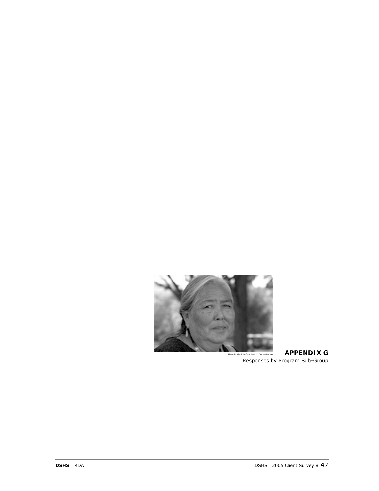

Photo by Lloyd Wolf for the U.S. Census Bureau **APPENDIX G** Responses by Program Sub-Group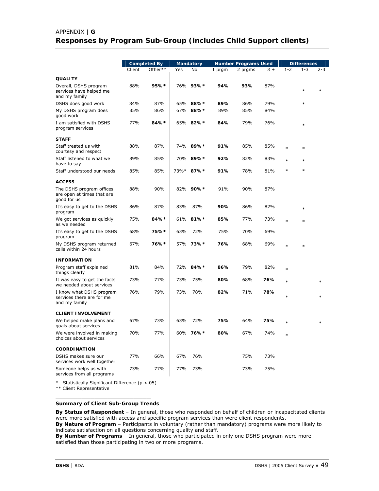### APPENDIX | **G Responses by Program Sub-Group (includes Child Support clients)**

|                                                                        |        | <b>Completed By</b> |     | <b>Mandatory</b> |        | <b>Number Programs Used</b> |      |         | <b>Differences</b> |         |
|------------------------------------------------------------------------|--------|---------------------|-----|------------------|--------|-----------------------------|------|---------|--------------------|---------|
|                                                                        | Client | Other**             | Yes | No               | 1 prgm | 2 prgms                     | $3+$ | $1 - 2$ | $1 - 3$            | $2 - 3$ |
| <b>QUALITY</b>                                                         |        |                     |     |                  |        |                             |      |         |                    |         |
| Overall, DSHS program<br>services have helped me<br>and my family      | 88%    | 95%*                |     | 76% 93%*         | 94%    | 93%                         | 87%  |         | $\ast$             | $\ast$  |
| DSHS does good work                                                    | 84%    | 87%                 |     | 65% 88%*         | 89%    | 86%                         | 79%  |         | $\ast$             |         |
| My DSHS program does<br>good work                                      | 85%    | 86%                 |     | 67% 88%*         | 89%    | 85%                         | 84%  |         |                    |         |
| I am satisfied with DSHS<br>program services                           | 77%    | 84%*                |     | 65% 82%*         | 84%    | 79%                         | 76%  |         | $\ast$             |         |
| <b>STAFF</b>                                                           |        |                     |     |                  |        |                             |      |         |                    |         |
| Staff treated us with<br>courtesy and respect                          | 88%    | 87%                 |     | 74% 89%*         | 91%    | 85%                         | 85%  | $\ast$  | $\ast$             |         |
| Staff listened to what we<br>have to say                               | 89%    | 85%                 |     | 70% 89%*         | 92%    | 82%                         | 83%  |         | ×                  |         |
| Staff understood our needs                                             | 85%    | 85%                 |     | 73%* 87%*        | 91%    | 78%                         | 81%  | $\ast$  | $\ast$             |         |
| <b>ACCESS</b>                                                          |        |                     |     |                  |        |                             |      |         |                    |         |
| The DSHS program offices<br>are open at times that are<br>good for us  | 88%    | 90%                 | 82% | $90\%*$          | 91%    | 90%                         | 87%  |         |                    |         |
| It's easy to get to the DSHS<br>program                                | 86%    | 87%                 | 83% | 87%              | 90%    | 86%                         | 82%  |         | $\ast$             |         |
| We got services as quickly<br>as we needed                             | 75%    | $84%$ *             | 61% | $81%$ *          | 85%    | 77%                         | 73%  | $\ast$  |                    |         |
| It's easy to get to the DSHS<br>program                                | 68%    | 75%*                | 63% | 72%              | 75%    | 70%                         | 69%  |         |                    |         |
| My DSHS program returned<br>calls within 24 hours                      | 67%    | 76%*                |     | 57% 73%*         | 76%    | 68%                         | 69%  |         |                    |         |
| <b>INFORMATION</b>                                                     |        |                     |     |                  |        |                             |      |         |                    |         |
| Program staff explained<br>things clearly                              | 81%    | 84%                 |     | 72% 84%*         | 86%    | 79%                         | 82%  | $\ast$  |                    |         |
| It was easy to get the facts<br>we needed about services               | 73%    | 77%                 | 73% | 75%              | 80%    | 68%                         | 76%  | $\ast$  |                    | ж       |
| I know what DSHS program<br>services there are for me<br>and my family | 76%    | 79%                 | 73% | 78%              | 82%    | 71%                         | 78%  | $\ast$  |                    |         |
| <b>CLIENT INVOLVEMENT</b>                                              |        |                     |     |                  |        |                             |      |         |                    |         |
| We helped make plans and<br>goals about services                       | 67%    | 73%                 | 63% | 72%              | 75%    | 64%                         | 75%  | ÷       |                    |         |
| We were involved in making<br>choices about services                   | 70%    | 77%                 |     | 60% 76%*         | 80%    | 67%                         | 74%  | ×       |                    |         |
| <b>COORDINATION</b>                                                    |        |                     |     |                  |        |                             |      |         |                    |         |
| DSHS makes sure our<br>services work well together                     | 77%    | 66%                 | 67% | 76%              |        | 75%                         | 73%  |         |                    |         |
| Someone helps us with<br>services from all programs                    | 73%    | 77%                 | 77% | 73%              |        | 73%                         | 75%  |         |                    |         |

\* Statistically Significant Difference (p.<.05)

\*\* Client Representative

### $\overline{\phantom{a}}$  , where  $\overline{\phantom{a}}$  , where  $\overline{\phantom{a}}$  , where  $\overline{\phantom{a}}$ **Summary of Client Sub-Group Trends**

**By Status of Respondent** – In general, those who responded on behalf of children or incapacitated clients were more satisfied with access and specific program services than were client respondents.

**By Nature of Program** – Participants in voluntary (rather than mandatory) programs were more likely to indicate satisfaction on all questions concerning quality and staff.

**By Number of Programs** – In general, those who participated in only one DSHS program were more satisfied than those participating in two or more programs.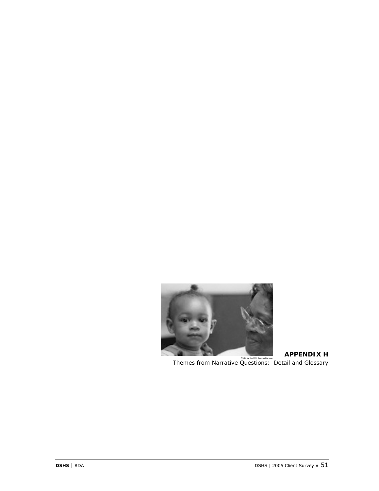

**APPENDIX H**

Themes from Narrative Questions: Detail and Glossary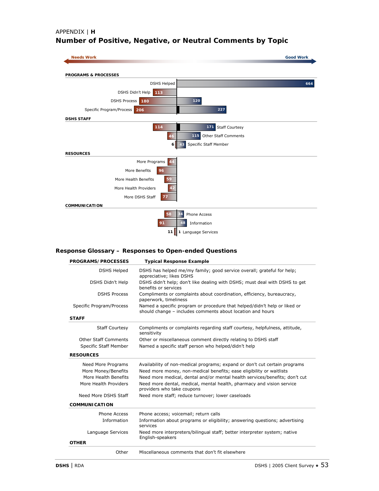### APPENDIX | **H Number of Positive, Negative, or Neutral Comments by Topic**

| <b>Needs Work</b>                          | <b>Good Work</b> |
|--------------------------------------------|------------------|
|                                            |                  |
| <b>PROGRAMS &amp; PROCESSES</b>            |                  |
| <b>DSHS Helped</b>                         | 664              |
| DSHS Didn't Help<br>113                    |                  |
| <b>DSHS Process</b><br>180<br>120          |                  |
| Specific Program/Process<br>227<br>206     |                  |
| <b>DSHS STAFF</b>                          |                  |
| 114<br><b>Staff Courtesy</b><br>171        |                  |
| <b>Other Staff Comments</b><br>46<br>$115$ |                  |
| Specific Staff Member<br>6                 |                  |
| <b>RESOURCES</b>                           |                  |
| More Programs<br>44                        |                  |
| 96<br>More Benefits                        |                  |
| More Health Benefits<br>59                 |                  |
| 42<br>More Health Providers                |                  |
| More DSHS Staff<br>77                      |                  |
| <b>COMMUNICATION</b>                       |                  |
| 58<br>Phone Access<br>34                   |                  |
| 91<br>Information<br>48                    |                  |
| 11<br>1 Language Services                  |                  |

### **Response Glossary – Responses to Open-ended Questions**

| <b>PROGRAMS/PROCESSES</b>   | <b>Typical Response Example</b>                                                                                                         |
|-----------------------------|-----------------------------------------------------------------------------------------------------------------------------------------|
| <b>DSHS Helped</b>          | DSHS has helped me/my family; good service overall; grateful for help;<br>appreciative; likes DSHS                                      |
| DSHS Didn't Help            | DSHS didn't help; don't like dealing with DSHS; must deal with DSHS to get<br>benefits or services                                      |
| <b>DSHS Process</b>         | Compliments or complaints about coordination, efficiency, bureaucracy,<br>paperwork, timeliness                                         |
| Specific Program/Process    | Named a specific program or procedure that helped/didn't help or liked or<br>should change - includes comments about location and hours |
| <b>STAFF</b>                |                                                                                                                                         |
| <b>Staff Courtesy</b>       | Compliments or complaints regarding staff courtesy, helpfulness, attitude,<br>sensitivity                                               |
| <b>Other Staff Comments</b> | Other or miscellaneous comment directly relating to DSHS staff                                                                          |
| Specific Staff Member       | Named a specific staff person who helped/didn't help                                                                                    |
| <b>RESOURCES</b>            |                                                                                                                                         |
| Need More Programs          | Availability of non-medical programs; expand or don't cut certain programs                                                              |
| More Money/Benefits         | Need more money, non-medical benefits; ease eligibility or waitlists                                                                    |
| More Health Benefits        | Need more medical, dental and/or mental health services/benefits; don't cut                                                             |
| More Health Providers       | Need more dental, medical, mental health, pharmacy and vision service<br>providers who take coupons                                     |
| Need More DSHS Staff        | Need more staff; reduce turnover; lower caseloads                                                                                       |
| <b>COMMUNICATION</b>        |                                                                                                                                         |
| Phone Access                | Phone access; voicemail; return calls                                                                                                   |
| Information                 | Information about programs or eligibility; answering questions; advertising<br>services                                                 |
| Language Services           | Need more interpreters/bilingual staff; better interpreter system; native<br>English-speakers                                           |
| <b>OTHER</b>                |                                                                                                                                         |
| Other                       | Miscellaneous comments that don't fit elsewhere                                                                                         |